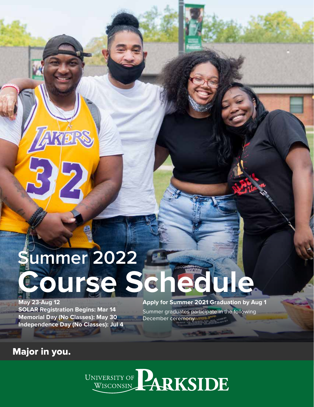# **Summer 2022 Course Schedule**

**May 23-Aug 12 SOLAR Registration Begins: Mar 14 Memorial Day (No Classes): May 30 Independence Day (No Classes): Jul 4** 

**Apply for Summer 2021 Graduation by Aug 1** Summer graduates participate in the following December ceremony

# Major in you.

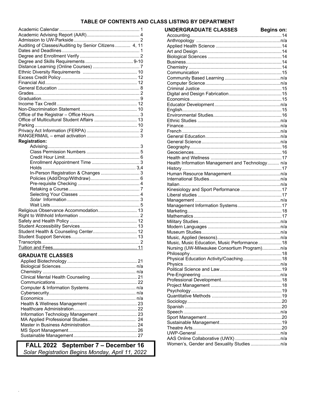### TABLE OF CONTENTS AND CLASS LISTING BY DEPARTMENT

**UNDERGRADUATE CLASSES** 

**Beains on:** 

| Auditing of Classes/Auditing by Senior Citizens 4, 11 |  |
|-------------------------------------------------------|--|
|                                                       |  |
|                                                       |  |
|                                                       |  |
|                                                       |  |
|                                                       |  |
|                                                       |  |
|                                                       |  |
|                                                       |  |
|                                                       |  |
|                                                       |  |
|                                                       |  |
|                                                       |  |
|                                                       |  |
| Office of Multicultural Student Affairs  13           |  |
|                                                       |  |
|                                                       |  |
|                                                       |  |
| <b>Registration:</b>                                  |  |
|                                                       |  |
|                                                       |  |
|                                                       |  |
|                                                       |  |
|                                                       |  |
| In-Person Registration & Changes  3                   |  |
|                                                       |  |
|                                                       |  |
|                                                       |  |
|                                                       |  |
|                                                       |  |
|                                                       |  |
| Religious Observance Accommodation 13                 |  |
|                                                       |  |
|                                                       |  |
|                                                       |  |
|                                                       |  |
|                                                       |  |
|                                                       |  |
|                                                       |  |
|                                                       |  |
| <b>GRADUATE CLASSES</b>                               |  |
|                                                       |  |
|                                                       |  |
|                                                       |  |
|                                                       |  |
|                                                       |  |
|                                                       |  |
|                                                       |  |
|                                                       |  |
|                                                       |  |

FALL 2022 September 7 - December 16 Solar Registration Begins Monday, April 11, 2022

| Health Information Management and Technology n/a |  |
|--------------------------------------------------|--|
|                                                  |  |
|                                                  |  |
|                                                  |  |
|                                                  |  |
| Kinesiology and Sport Performance17              |  |
|                                                  |  |
|                                                  |  |
|                                                  |  |
|                                                  |  |
|                                                  |  |
|                                                  |  |
|                                                  |  |
|                                                  |  |
|                                                  |  |
| Music, Music Education, Music Performance 18     |  |
| Nursing (UW-Milwaukee Consortium Program)n/a     |  |
|                                                  |  |
| Physical Education Activity/Coaching 18          |  |
|                                                  |  |
|                                                  |  |
|                                                  |  |
|                                                  |  |
|                                                  |  |
|                                                  |  |
|                                                  |  |
|                                                  |  |
|                                                  |  |
|                                                  |  |
|                                                  |  |
|                                                  |  |
|                                                  |  |
|                                                  |  |
|                                                  |  |
|                                                  |  |
|                                                  |  |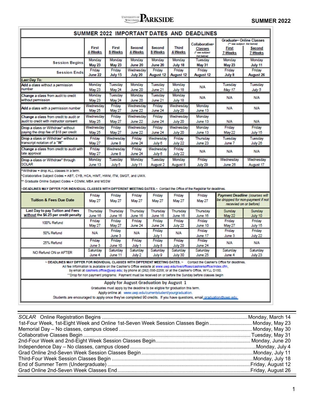# UNIVERSITY OF **PARKSIDE** SUMMER 2022

| SUMMER 2022 IMPORTANT DATES AND DEADLINES                                                                                                                                                                                                                                                                                                                                                                                                                               |                            |                          |                      |                     |                            |                                                                        |                                                             |                                                                |
|-------------------------------------------------------------------------------------------------------------------------------------------------------------------------------------------------------------------------------------------------------------------------------------------------------------------------------------------------------------------------------------------------------------------------------------------------------------------------|----------------------------|--------------------------|----------------------|---------------------|----------------------------|------------------------------------------------------------------------|-------------------------------------------------------------|----------------------------------------------------------------|
|                                                                                                                                                                                                                                                                                                                                                                                                                                                                         |                            |                          |                      |                     |                            |                                                                        |                                                             | <b>Graduate + Online Classes</b>                               |
|                                                                                                                                                                                                                                                                                                                                                                                                                                                                         | First<br>4-Weeks           | First<br>8-Weeks         | Second<br>4-Weeks    | Second<br>8-Weeks   | <b>Third</b><br>4-Weeks    | Collaborative <sup>®</sup><br>Classes<br>(* see subject<br>list below) | First<br><b>7-Weeks</b>                                     | (** see subject list below)<br><b>Second</b><br><b>7 Weeks</b> |
| <b>Session Begins</b>                                                                                                                                                                                                                                                                                                                                                                                                                                                   | Monday<br><b>May 23</b>    | Monday<br><b>May 23</b>  | Monday<br>June 20    | Monday<br>June 20   | Monday<br>July 18          | Tuesday<br><b>May 31</b>                                               | Monday<br><b>May 23</b>                                     | Monday<br>July 11                                              |
| <b>Session Ends</b>                                                                                                                                                                                                                                                                                                                                                                                                                                                     | Friday<br>June 22          | Friday<br>July 15        | Wednesday<br>July 20 | Friday<br>August 12 | Friday<br>August 12        | Friday<br>August 12                                                    | Friday<br>July 8                                            | Friday<br>August 26                                            |
| <b>Last Day To:</b>                                                                                                                                                                                                                                                                                                                                                                                                                                                     |                            |                          |                      |                     |                            |                                                                        |                                                             |                                                                |
| Add a class without a permission<br>number                                                                                                                                                                                                                                                                                                                                                                                                                              | Monday<br><b>May 23</b>    | Tuesday<br>May 24        | Mondav<br>June 20    | Tuesday<br>June 21  | Monday<br>July 18          | <b>N/A</b>                                                             | Tuesday<br>May 17                                           | Tuesdav<br>July 5                                              |
| Change a class from audit to credit<br>without permission                                                                                                                                                                                                                                                                                                                                                                                                               | Monday<br><b>May 23</b>    | <b>Tuesday</b><br>May 24 | Monday<br>June 20    | Tuesdav<br>June 21  | Monday<br>July 18          | <b>N/A</b>                                                             | <b>N/A</b>                                                  | <b>N/A</b>                                                     |
| Add a class with a permission number                                                                                                                                                                                                                                                                                                                                                                                                                                    | Wednesday<br><b>May 25</b> | Friday<br>May 27         | Wednesday<br>June 22 | Friday<br>June 24   | Wednesday<br>July 20       | Monday<br>June 13                                                      | <b>N/A</b>                                                  | <b>N/A</b>                                                     |
| Change a class from credit to audit or<br>audit to credit with instructor consent                                                                                                                                                                                                                                                                                                                                                                                       | Wednesdav<br><b>May 25</b> | Friday<br>May 27         | Wednesdav<br>June 22 | Friday<br>June 24   | Wednesdav<br>July 20       | Monday<br>June 13                                                      | <b>N/A</b>                                                  | N/A                                                            |
| Drop a class or Withdraw^ without<br>paying the drop fee of \$18 per credit                                                                                                                                                                                                                                                                                                                                                                                             | Wednesday<br><b>May 25</b> | Friday<br>May 27         | Wednesday<br>June 22 | Friday<br>June 24   | Wednesday<br>July 20       | Monday<br>June 13                                                      | Friday<br>May 22                                            | Friday<br>July 15                                              |
| Drop a class or Withdraw^ without a<br>transcript notation of a "W"                                                                                                                                                                                                                                                                                                                                                                                                     | Friday<br><b>May 27</b>    | Wednesdav<br>June 8      | Friday<br>June 24    | Wednesdav<br>July 6 | Friday<br>July 22          | Thursday<br>June 23                                                    | Tuesday<br>June 7                                           | Tuesday<br>July 26                                             |
| Change a class from credit to audit with<br>late approval                                                                                                                                                                                                                                                                                                                                                                                                               | Friday<br><b>May 27</b>    | Wednesday<br>June 8      | Friday<br>June 24    | Wednesday<br>July 6 | Friday<br>July 22          | <b>N/A</b>                                                             | <b>N/A</b>                                                  | N/A                                                            |
| Drop a class or Withdraw^ through<br><b>SOLAR</b>                                                                                                                                                                                                                                                                                                                                                                                                                       | Monday<br>June 13          | Tuesdav<br>July 5        | Monday<br>July 11    | Tuesday<br>August 2 | Monday<br>August 8         | Friday<br>July 29                                                      | Wednesdav<br>June 26                                        | Wednesdav<br>August 17                                         |
| ** Graduate Online Subject Codes = COMM, MBA and MSSM<br>-DEADLINES MAY DIFFER FOR INDIVIDUAL CLASSES WITH DIFFERENT MEETING DATES.~ Contact the Office of the Registrar for deadlines.                                                                                                                                                                                                                                                                                 | Friday                     | Friday                   | Friday               | Friday              | Friday                     | Friday                                                                 | Payment Deadline (courses will                              |                                                                |
| <b>Tuition &amp; Fees Due Date</b>                                                                                                                                                                                                                                                                                                                                                                                                                                      | <b>May 27</b>              | <b>May 27</b>            | <b>May 27</b>        | <b>May 27</b>       | <b>May 27</b>              | <b>May 27</b>                                                          | be dropped for non-payment if not<br>recevied on or before) |                                                                |
| Last Day to pay Tuition and Fees<br>without the \$6.25 per credit penalty                                                                                                                                                                                                                                                                                                                                                                                               | Thursday<br>June 16        | Thursday<br>June 16      | Thursday<br>June 16  | Thursday<br>June 16 | <b>Thursday</b><br>June 16 | Thursday<br>June 16                                                    | Sunday<br><b>May 22</b>                                     | Sunday<br>July 10                                              |
| 100% Refund                                                                                                                                                                                                                                                                                                                                                                                                                                                             | Friday<br><b>May 27</b>    | Friday<br>May 27         | Friday<br>June 24    | Friday<br>June 24   | Friday<br>July 22          | Friday<br>June 10                                                      | Friday<br>May 27                                            | Friday<br>July 15                                              |
| 50% Refund                                                                                                                                                                                                                                                                                                                                                                                                                                                              | <b>N/A</b>                 | Friday<br>June 3         | <b>N/A</b>           | Friday<br>July 1    | <b>N/A</b>                 | Friday<br>June 17                                                      | Friday<br>June 3                                            | Friday<br>July 22                                              |
| 25% Refund                                                                                                                                                                                                                                                                                                                                                                                                                                                              | Friday<br>June 3           | Friday<br>June 10        | Friday<br>July 1     | Friday<br>July 8    | Friday<br>July 29          | Friday<br>June 24                                                      | <b>N/A</b>                                                  | <b>N/A</b>                                                     |
| NO Refund ON or AFTER                                                                                                                                                                                                                                                                                                                                                                                                                                                   | Saturday<br>June 4         | Saturday<br>June 11      | Saturday<br>July 2   | Saturdav<br>July 9  | Saturdav<br>July 30        | Saturday<br>June 25                                                    | Saturday<br>June 4                                          | Saturday<br>July 23                                            |
| ~ DEADLINES MAY DIFFER FOR INDIVIDUAL CLASSES WITH DIFFERENT MEETING DATES. ~ Contact the Cashler's Office for deadlines.<br>All fee information is available on the Cashier's Office website at www.uwp.edu/live/offices/cashiersoffice/index.cfm,<br>by email at cashiers.office@uwp.edu; by phone at (262) 595-2258; or at the Cashier's Office, WYLL D150.<br>"Drop for non payment programs: Payment must be received on or before the Sunday before classes begin |                            |                          |                      |                     |                            |                                                                        |                                                             |                                                                |
| Apply for August Graduation by August 1<br>Graduates must apply by the deadline to be eligible for graduation this term.<br>Apply online at: www.uwp.edu/currentstudent/yourgraduation.<br>Students are encouraged to apply once they've completed 90 credits. If you have questions, email graduation@uwp.edu.                                                                                                                                                         |                            |                          |                      |                     |                            |                                                                        |                                                             |                                                                |

| 1st-Four Week, 1st-Eight Week and Online 1st-Seven Week Session Classes Begin  Monday, May 23 |  |
|-----------------------------------------------------------------------------------------------|--|
|                                                                                               |  |
|                                                                                               |  |
|                                                                                               |  |
|                                                                                               |  |
|                                                                                               |  |
|                                                                                               |  |
|                                                                                               |  |
|                                                                                               |  |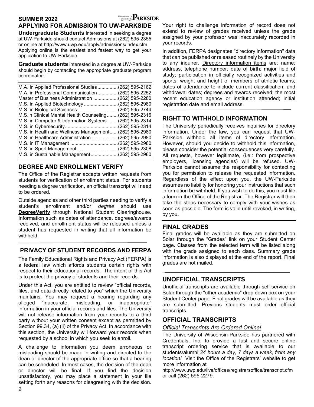# **SUMMER 2022**

# **APPLYING FOR ADMISSION TO UW-PARKSIDE**

**Undergraduate Students** interested in seeking a degree at UW-Parkside should contact Admissions at (262) 595-2355 or online at http://www.uwp.edu/apply/admissions/index.cfm. Applying online is the easiest and fastest way to get your application to UW-Parkside.

**Graduate students** interested in a degree at UW-Parkside should begin by contacting the appropriate graduate program coordinator:

| M.A. in Applied Professional Studies(262) 595-2162     |  |
|--------------------------------------------------------|--|
| M.A. in Professional Communication(262) 595-2252       |  |
| Master of Business Administration (262) 595-2280       |  |
| M.S. in Applied Biotechnology (262) 595-2980           |  |
| M.S. in Biological Sciences(262) 595-2744              |  |
| M.S.in Clinical Mental Health Counseling(262) 595-2316 |  |
| M.S. in Computer & Information Systems (262) 595-2314  |  |
|                                                        |  |
| M.S. in Health and Wellness Management(262) 595-2980   |  |
| M.S. in Healthcare Administration (262) 595-2980       |  |
|                                                        |  |
|                                                        |  |
| M.S. in Sustainable Management(262) 595-2980           |  |
|                                                        |  |

### **DEGREE AND ENROLLMENT VERIFY**

The Office of the Registrar accepts written requests from students for verification of enrollment status. For students needing a degree verification, an official transcript will need to be ordered.

Outside agencies and other third parties needing to verify a student's enrollment and/or *degree* should use **DegreeVerify** through National Student Clearinghouse. Information such as dates of attendance, degrees/awards received, and enrollment status will be released unless a student has requested in writing that all information be withheld.

### **PRIVACY OF STUDENT RECORDS AND FERPA**

The Family Educational Rights and Privacy Act (FERPA) is a federal law which affords students certain rights with respect to their educational records. The intent of this Act is to protect the privacy of students and their records.

Under this Act, you are entitled to review "official records, files, and data directly related to you" which the University maintains. You may request a hearing regarding any alleged "inaccurate, misleading, or inappropriate" information in your official records and files. The University will not release information from your records to a third party without your written consent except as permitted by Section 99.34, (a) (ii) of the Privacy Act. In accordance with this section, the University will forward your records when requested by a school in which you seek to enroll.

A challenge to information you deem erroneous or misleading should be made in writing and directed to the dean or director of the appropriate office so that a hearing can be scheduled. In most cases, the decision of the dean or director will be final. If you find the decision unsatisfactory, you may place a statement in your file setting forth any reasons for disagreeing with the decision.

Your right to challenge information of record does not extend to review of grades received unless the grade assigned by your professor was inaccurately recorded in your records.

In addition, FERPA designates "directory information" data that can be published or released routinely by the University to any inquirer. Directory information items are: name; address; telephone number; date of birth; major field of study; participation in officially recognized activities and sports; weight and height of members of athletic teams; dates of attendance to include current classification, and withdrawal dates; degrees and awards received; the most recent education agency or institution attended; initial registration date and email address.

### **RIGHT TO WITHHOLD INFORMATION**

The University periodically receives inquiries for directory information. Under the law, you can request that UW-Parkside withhold all items of directory information. However, should you decide to withhold this information, please consider the potential consequences very carefully. All requests, however legitimate, (i.e.: from prospective employers, licensing agencies) will be refused. UW-Parkside cannot assume the responsibility for contacting you for permission to release the requested information. Regardless of the effect upon you, the UW-Parkside assumes no liability for honoring your instructions that such information be withheld. If you wish to do this, you must file a form in the Office of the Registrar. The Registrar will then take the steps necessary to comply with your wishes as soon as possible. The form is valid until revoked, in writing, by you.

### **FINAL GRADES**

Final grades will be available as they are submitted on Solar through the "Grades" link on your Student Center page. Classes from the selected term will be listed along with the grade assigned to each class. Summary grade information is also displayed at the end of the report. Final grades are not mailed.

**\_\_\_\_\_\_\_\_\_\_\_\_\_\_\_\_\_\_\_\_\_\_\_\_\_\_\_\_\_\_\_\_\_\_\_\_\_\_\_\_\_\_\_\_\_\_**

### **UNOFFICIAL TRANSCRIPTS**

Unofficial transcripts are available through self-service on Solar through the "other academic" drop down box on your Student Center page. Final grades will be available as they are submitted. Previous students must order official transcripts.

### **OFFICIAL TRANSCRIPTS**

### *Official Transcripts Are Ordered Online!*

The University of Wisconsin-Parkside has partnered with Credentials, Inc. to provide a fast and secure online transcript ordering service that is available to our students/alumni *24 hours a day, 7 days a week, from any location!* Visit the Office of the Registrars' website to get more information at

http://www.uwp.edu/live/offices/registrarsoffice/transcript.cfm or call (262) 595-2279.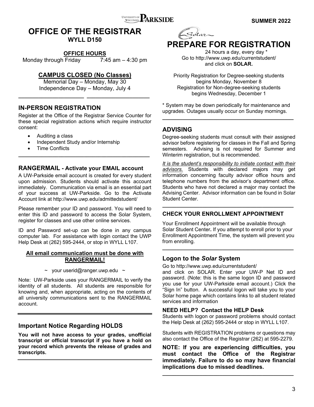

# **OFFICE OF THE REGISTRAR**

**WYLL D150** 

### **OFFICE HOURS**

Monday through Friday 7:45 am – 4:30 pm

### **CAMPUS CLOSED (No Classes)**

Memorial Day – Monday, May 30 Independence Day – Monday, July 4

**\_\_\_\_\_\_\_\_\_\_\_\_\_\_\_\_\_\_\_\_\_\_\_ \_\_\_\_\_\_\_\_\_\_\_\_\_\_\_\_\_\_\_\_\_\_** 

### **IN-PERSON REGISTRATION**

Register at the Office of the Registrar Service Counter for these special registration actions which require instructor consent:

- Auditing a class
- Independent Study and/or Internship
- Time Conflicts

### **RANGERMAIL - Activate your EMAIL account**

**\_\_\_\_\_\_\_\_\_\_\_\_\_\_\_\_\_\_\_\_\_\_\_\_\_\_\_\_\_\_\_\_\_\_\_\_\_\_\_\_\_\_\_\_\_\_** 

A UW-Parkside email account is created for every student upon admission. Students should activate this account immediately. Communication via email is an essential part of your success at UW-Parkside. Go to the Activate Account link at http://www.uwp.edu/admittedstudent/

Please remember your ID and password. You will need to enter this ID and password to access the Solar System, register for classes and use other online services.

ID and Password set-up can be done in any campus computer lab. For assistance with login contact the UWP Help Desk at (262) 595-2444, or stop in WYLL L107.

### **All email communication must be done with RANGERMAIL!**

 $\sim$  your userid@ranger.uwp.edu  $\sim$ 

Note: UW-Parkside uses your RANGERMAIL to verify the identity of all students. All students are responsible for knowing and, when appropriate, acting on the contents of all university communications sent to the RANGERMAIL account.

### **Important Notice Regarding HOLDS**

**You will not have access to your grades, unofficial transcript or official transcript if you have a hold on your record which prevents the release of grades and transcripts.** 



# **PREPARE FOR REGISTRATION**

 24 hours a day, every day \* Go to http://www.uwp.edu/currentstudent/ and click on **SOLAR.** 

Priority Registration for Degree-seeking students begins Monday, November 8 Registration for Non-degree-seeking students begins Wednesday, December 1

\* System may be down periodically for maintenance and upgrades. Outages usually occur on Sunday mornings. **\_\_\_\_\_\_\_\_\_\_\_\_\_\_\_\_\_\_\_\_\_\_\_\_\_\_\_\_\_\_\_\_\_\_\_\_\_\_\_\_\_\_\_\_\_\_** 

### **ADVISING**

Degree-seeking students must consult with their assigned advisor before registering for classes in the Fall and Spring semesters. Advising is not required for Summer and Winterim registration, but is recommended.

*It is the student's responsibility to initiate contact with their advisors.* Students with declared majors may get information concerning faculty advisor office hours and telephone numbers from the advisor's department office. Students who have not declared a major may contact the Advising Center. Advisor information can be found in Solar Student Center.

### **CHECK YOUR ENROLLMENT APPOINTMENT**

**\_\_\_\_\_\_\_\_\_\_\_\_\_\_\_\_\_\_\_\_\_\_\_\_\_\_\_\_\_\_\_\_\_\_\_\_\_\_\_\_\_\_\_\_\_\_**

Your Enrollment Appointment will be available through Solar Student Center**.** If you attempt to enroll prior to your Enrollment Appointment Time, the system will prevent you from enrolling.

**\_\_\_\_\_\_\_\_\_\_\_\_\_\_\_\_\_\_\_\_\_\_\_\_\_\_\_\_\_\_\_\_\_\_\_\_\_\_\_\_\_\_\_\_\_\_** 

### **Logon to the** *Solar* **System**

Go to http://www.uwp.edu/currentstudent/ and click on SOLAR. Enter your UW-P Net ID and password. (Note: this is the same logon ID and password you use for your UW-Parkside email account.) Click the "Sign In" button. A successful logon will take you to your Solar home page which contains links to all student related services and information

### **NEED HELP? Contact the HELP Desk**

Students with logon or password problems should contact the Help Desk at (262) 595-2444 or stop in WYLL L107.

Students with REGISTRATION problems or questions may also contact the Office of the Registrar (262) at 595-2279.

**NOTE: If you are experiencing difficulties, you must contact the Office of the Registrar immediately. Failure to do so may have financial implications due to missed deadlines.** 

**\_\_\_\_\_\_\_\_\_\_\_\_\_\_\_\_\_\_\_\_\_\_\_\_\_\_\_\_\_\_\_\_\_\_\_\_\_\_\_\_\_\_\_\_\_\_**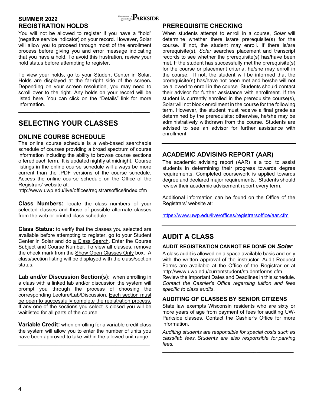

### **SUMMER 2022** SUMMER 2022 **REGISTRATION HOLDS**

You will not be allowed to register if you have a "hold" (negative service indicator) on your record. However**,** Solar will allow you to proceed through most of the enrollment process before giving you and error message indicating that you have a hold. To avoid this frustration, review your hold status before attempting to register.

To view your holds, go to your Student Center in Solar. Holds are displayed at the far-right side of the screen**.**  Depending on your screen resolution, you may need to scroll over to the right. Any holds on your record will be listed here. You can click on the "Details" link for more information.

**\_\_\_\_\_\_\_\_\_\_\_\_\_\_\_\_\_\_\_\_\_\_\_\_\_\_\_\_\_\_\_\_\_\_\_\_\_\_\_\_\_\_\_\_\_\_**

# **SELECTING YOUR CLASSES**

### **ONLINE COURSE SCHEDULE**

The online course schedule is a web-based searchable schedule of courses providing a broad spectrum of course information including the ability to browse course sections offered each term. It is updated nightly at midnight. Course listings in the online course schedule will always be more current than the .PDF versions of the course schedule. Access the online course schedule on the Office of the Registrars' website at:

http://www.uwp.edu/live/offices/registrarsoffice/index.cfm

**Class Numbers:** locate the class numbers of your selected classes and those of possible alternate classes from the web or printed class schedule.

**Class Status:** to verify that the classes you selected are available before attempting to register, go to your Student Center in Solar and do a Class Search. Enter the Course Subject and Course Number. To view all classes, remove the check mark from the Show Open Classes Only box. A class/section listing will be displayed with the class/section status.

**Lab and/or Discussion Section(s):** when enrolling in a class with a linked lab and/or discussion the system will prompt you through the process of choosing the corresponding Lecture/Lab/Discussion. Each section must be open to successfully complete the registration process. If any one of the sections you select is closed you will be waitlisted for all parts of the course.

**Variable Credit:** when enrolling for a variable credit class the system will allow you to enter the number of units you have been approved to take within the allowed unit range.

**\_\_\_\_\_\_\_\_\_\_\_\_\_\_\_\_\_\_\_\_\_\_\_\_\_\_\_\_\_\_\_\_\_\_\_\_\_\_\_\_\_\_\_\_\_\_**

### **PREREQUISITE CHECKING**

When students attempt to enroll in a course, *Solar* will determine whether there is/are prerequisite(s) for the course. If not, the student may enroll. If there is/are prerequisite(s), *Solar* searches placement and transcript records to see whether the prerequisite(s) has/have been met. If the student has successfully met the prerequisite(s) for the course or placement criteria, he/she may enroll in the course. If not, the student will be informed that the prerequisite(s) has/have not been met and he/she will not be allowed to enroll in the course. Students should contact their advisor for further assistance with enrollment. If the student is currently enrolled in the prerequisite course(s), Solar will not block enrollment in the course for the following term. However, the student must receive a final grade as determined by the prerequisite; otherwise, he/she may be administratively withdrawn from the course. Students are advised to see an advisor for further assistance with enrollment.

### **ACADEMIC ADVISING REPORT (AAR)**

The academic advising report (AAR) is a tool to assist students in determining their progress towards degree requirements. Completed coursework is applied towards degree and declared major requirements. Students should review their academic advisement report every term.

Additional information can be found on the Office of the Registrars' website at:

https://www.uwp.edu/live/offices/registrarsoffice/aar.cfm

# **AUDIT A CLASS**

### **AUDIT REGISTRATION CANNOT BE DONE ON** *Solar*

A class audit is allowed on a space available basis and only with the written approval of the instructor. Audit Request Forms are available at the Office of the Registrar or at http://www.uwp.edu/currentstudent/studentforms.cfm Review the Important Dates and Deadlines in this schedule*. Contact the Cashier's Office regarding tuition and fees specific to class audits.* 

### **AUDITING OF CLASSES BY SENIOR CITIZENS**

State law exempts Wisconsin residents who are sixty or more years of age from payment of fees for auditing UW-Parkside classes. Contact the Cashier's Office for more information.

*Auditing students are responsible for special costs such as class/lab fees. Students are also responsible for parking fees.*

**\_\_\_\_\_\_\_\_\_\_\_\_\_\_\_\_\_\_\_\_\_\_\_\_\_\_\_\_\_\_\_\_\_\_\_\_\_\_\_\_\_\_\_\_\_\_**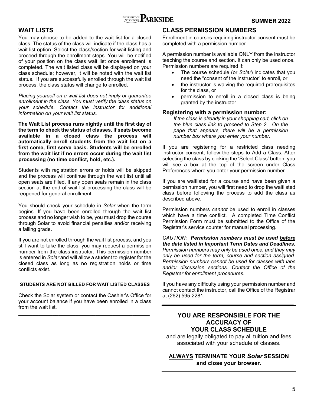

### **WAIT LISTS**

You may choose to be added to the wait list for a closed class. The status of the class will indicate if the class has a wait list option. Select the class/section for wait-listing and proceed through the enrollment steps. You will be notified of your position on the class wait list once enrollment is completed. The wait listed class will be displayed on your class schedule; however, it will be noted with the wait list status. If you are successfully enrolled through the wait list process, the class status will change to enrolled.

*Placing yourself on a wait list does not imply or guarantee enrollment in the class. You must verify the class status on your schedule. Contact the instructor for additional information on your wait list status.* 

**The Wait List process runs nightly until the first day of the term to check the status of classes. If seats become available in a closed class the process will automatically enroll students from the wait list on a first come, first serve basis. Students will be enrolled from the wait list if no errors occur during the wait list processing (no time conflict, hold, etc.).**

Students with registration errors or holds will be skipped and the process will continue through the wait list until all open seats are filled. If any open seats remain in the class section at the end of wait list processing the class will be reopened for general enrollment.

You should check your schedule in *Solar* when the term begins. If you have been enrolled through the wait list process and no longer wish to be, you must drop the course through Solar to avoid financial penalties and/or receiving a failing grade.

If you are not enrolled through the wait list process, and you still want to take the class, you may request a permission number from the class instructor. This permission number is entered in *Solar* and will allow a student to register for the closed class as long as no registration holds or time conflicts exist.

### **STUDENTS ARE NOT BILLED FOR WAIT LISTED CLASSES**

Check the Solar system or contact the Cashier's Office for your account balance if you have been enrolled in a class from the wait list.

**\_\_\_\_\_\_\_\_\_\_\_\_\_\_\_\_\_\_\_\_\_\_\_\_\_\_\_\_\_\_\_\_\_\_\_\_\_\_\_\_\_\_\_\_\_\_** 

### **CLASS PERMISSION NUMBERS**

Enrollment in courses requiring instructor consent must be completed with a permission number.

A permission number is available ONLY from the instructor teaching the course and section. It can only be used once. Permission numbers are required if:

- The course schedule (or *Solar*) indicates that you need the "consent of the instructor" to enroll, or
- the instructor is waiving the required prerequisites for the class, or
- permission to enroll in a closed class is being granted by the instructor.

### **Registering with a permission number:**

*If the class is already in your shopping cart, click on the blue class link to proceed to Step 2. On the page that appears, there will be a permission number box where you enter your number.* 

If you are registering for a restricted class needing instructor consent, follow the steps to Add a Class. After selecting the class by clicking the 'Select Class' button, you will see a box at the top of the screen under Class Preferences where you enter your permission number.

If you are waitlisted for a course and have been given a permission number, you will first need to drop the waitlisted class before following the process to add the class as described above.

Permission numbers *cannot* be used to enroll in classes which have a time conflict. A completed Time Conflict Permission Form must be submitted to the Office of the Registrar's service counter for manual processing.

*CAUTION: Permission numbers must be used before the date listed in Important Term Dates and Deadlines. Permission numbers may only be used once, and they may only be used for the term, course and section assigned. Permission numbers cannot be used for classes with labs and/or discussion sections. Contact the Office of the Registrar for enrollment procedures.* 

If you have any difficulty using your permission number and cannot contact the instructor, call the Office of the Registrar at (262) 595-2281.

**\_\_\_\_\_\_\_\_\_\_\_\_\_\_\_\_\_\_\_\_\_\_\_\_\_\_\_\_\_\_\_\_\_\_\_\_\_\_\_\_\_\_\_\_\_\_**

### **YOU ARE RESPONSIBLE FOR THE ACCURACY OF YOUR CLASS SCHEDULE**

and are legally obligated to pay all tuition and fees associated with your schedule of classes.

### **ALWAYS TERMINATE YOUR** *Solar* **SESSION and close your browser.**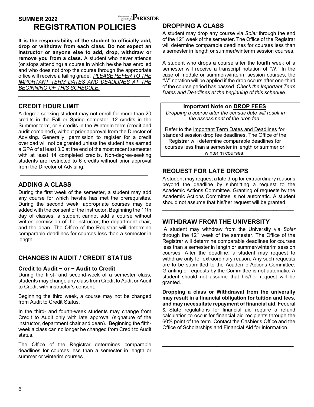**SUMMER 2022** SUMMER 3022

# **REGISTRATION POLICIES**

**It is the responsibility of the student to officially add, drop or withdraw from each class. Do not expect an instructor or anyone else to add, drop, withdraw or remove you from a class.** A student who never attends (or stops attending) a course in which he/she has enrolled and who does not drop the course through the appropriate office will receive a failing grade. *PLEASE REFER TO THE IMPORTANT TERM DATES AND DEADLINES AT THE BEGINNING OF THIS SCHEDULE.*

**\_\_\_\_\_\_\_\_\_\_\_\_\_\_\_\_\_\_\_\_\_\_\_\_\_\_\_\_\_\_\_\_\_\_\_\_\_\_\_\_\_\_\_\_\_\_** 

### **CREDIT HOUR LIMIT**

A degree-seeking student may not enroll for more than 20 credits in the Fall or Spring semester, 12 credits in the Summer term, or 6 credits in the Winterim term (credit and audit combined), without prior approval from the Director of Advising. Generally, permission to register for a credit overload will not be granted unless the student has earned a GPA of at least 3.0 at the end of the most recent semester with at least 14 completed credits. Non-degree-seeking students are restricted to 6 credits without prior approval from the Director of Advising.

 **\_\_\_\_\_\_\_\_\_\_\_\_\_\_\_\_\_\_\_\_\_\_\_\_\_\_\_\_\_\_\_\_\_\_\_\_\_\_\_\_\_\_\_\_\_** 

### **ADDING A CLASS**

During the first week of the semester, a student may add any course for which he/she has met the prerequisites. During the second week, appropriate courses may be added with the consent of the instructor. Beginning the 11th day of classes, a student cannot add a course without written permission of the instructor, the department chair, and the dean. The Office of the Registrar will determine comparable deadlines for courses less than a semester in length.

**\_\_\_\_\_\_\_\_\_\_\_\_\_\_\_\_\_\_\_\_\_\_\_\_\_\_\_\_\_\_\_\_\_\_\_\_\_\_\_\_\_\_\_\_\_\_** 

### **CHANGES IN AUDIT / CREDIT STATUS**

### **Credit to Audit ~ or ~ Audit to Credit**

During the first- and second-week of a semester class, students may change any class from Credit to Audit or Audit to Credit with instructor's consent.

Beginning the third week, a course may not be changed from Audit to Credit Status.

In the third- and fourth-week students may change from Credit to Audit only with late approval (signature of the instructor, department chair and dean). Beginning the fifthweek a class can no longer be changed from Credit to Audit status.

The Office of the Registrar determines comparable deadlines for courses less than a semester in length or summer or winterim courses.

**\_\_\_\_\_\_\_\_\_\_\_\_\_\_\_\_\_\_\_\_\_\_\_\_\_\_\_\_\_\_\_\_\_\_\_\_\_\_\_\_\_\_\_\_\_\_** 

### **DROPPING A CLASS**

A student may drop any course via *Solar* through the end of the 12<sup>th</sup> week of the semester. The Office of the Registrar will determine comparable deadlines for courses less than a semester in length or summer/winterim session courses.

A student who drops a course after the fourth week of a semester will receive a transcript notation of "W." In the case of module or summer/winterim session courses, the "W" notation will be applied if the drop occurs after one-third of the course period has passed. *Check the Important Term Dates and Deadlines at the beginning of this schedule.*

**Important Note on DROP FEES**  *Dropping a course after the census date will result in the assessment of the drop fee.* 

Refer to the Important Term Dates and Deadlines for standard session drop fee deadlines. The Office of the Registrar will determine comparable deadlines for courses less than a semester in length or summer or winterim courses.

### **REQUEST FOR LATE DROPS**

A student may request a late drop for extraordinary reasons beyond the deadline by submitting a request to the Academic Actions Committee. Granting of requests by the Academic Actions Committee is not automatic. A student should not assume that his/her request will be granted.

### **WITHDRAW FROM THE UNIVERSITY**

 A student may withdraw from the University via *Solar* through the  $12<sup>th</sup>$  week of the semester. The Office of the Registrar will determine comparable deadlines for courses less than a semester in length or summer/winterim session courses. After the deadline, a student may request to withdraw only for extraordinary reason. Any such requests are to be submitted to the Academic Actions Committee. Granting of requests by the Committee is not automatic. A student should not assume that his/her request will be granted.

**Dropping a class or Withdrawal from the university may result in a financial obligation for tuition and fees, and may necessitate repayment of financial aid.** Federal & State regulations for financial aid require a refund calculation to occur for financial aid recipients through the 60% point of the term. Contact the Cashier's Office and the Office of Scholarships and Financial Aid for information.

**\_\_\_\_\_\_\_\_\_\_\_\_\_\_\_\_\_\_\_\_\_\_\_\_\_\_\_\_\_\_\_\_\_\_\_\_\_\_\_\_\_\_\_\_\_\_**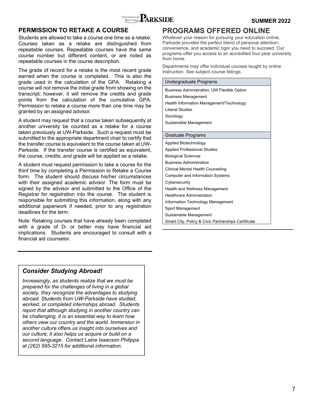

### **PERMISSION TO RETAKE A COURSE**

Students are allowed to take a course one time as a retake. Courses taken as a retake are distinguished from repeatable courses. Repeatable courses have the same course number but different content, or are noted as repeatable courses in the course description.

The grade of record for a retake is the most recent grade earned when the course is completed. This is also the grade used in the calculation of the GPA. Retaking a course will not remove the initial grade from showing on the transcript; however, it will remove the credits and grade points from the calculation of the cumulative GPA. Permission to retake a course more than one time may be granted by an assigned advisor.

A student may request that a course taken subsequently at another university be counted as a retake for a course taken previously at UW-Parkside. Such a request must be submitted to the appropriate department chair to certify that the transfer course is equivalent to the course taken at UW-Parkside. If the transfer course is certified as equivalent, the course, credits, and grade will be applied as a retake.

A student must request permission to take a course for the third time by completing a Permission to Retake a Course form. The student should discuss his/her circumstances with their assigned academic advisor. The form must be signed by the advisor and submitted to the Office of the Registrar for registration into the course. The student is responsible for submitting this information, along with any additional paperwork if needed, prior to any registration deadlines for the term.

Note: Retaking courses that have already been completed with a grade of D- or better may have financial aid implications. Students are encouraged to consult with a financial aid counselor.

### **PROGRAMS OFFERED ONLINE**

Whatever your reason for pursuing your education online, Parkside provides the perfect blend of personal attention, convenience, and academic rigor you need to succeed. Our programs offer you access to an accredited four-year university from home.

Departments may offer individual courses taught by online instruction. See subject course listings.

| Undergraduate Programs                             |
|----------------------------------------------------|
| <b>Business Administration, UW Flexible Option</b> |
| <b>Business Management</b>                         |
| Health Information Management/Technology           |
| <b>Liberal Studies</b>                             |
| Sociology                                          |
| Sustainable Management                             |
|                                                    |
| Graduate Programs                                  |
| Applied Biotechnology                              |
| <b>Applied Professional Studies</b>                |
| <b>Biological Sciences</b>                         |
| <b>Business Administration</b>                     |
| <b>Clinical Mental Health Counseling</b>           |
| Computer and Information Systems                   |
| Cybersecurity                                      |
| Health and Wellness Management                     |
| <b>Healthcare Administration</b>                   |
| Information Technology Management                  |
| Sport Management                                   |

Sustainable Management

Smart City, Policy & Civic Partnerships Certificate

**\_\_\_\_\_\_\_\_\_\_\_\_\_\_\_\_\_\_\_\_\_\_\_\_\_\_\_\_\_\_\_\_\_\_\_\_\_\_\_\_\_\_\_\_\_\_**

### *Consider Studying Abroad!*

*Increasingly, as students realize that we must be prepared for the challenges of living in a global society, they recognize the advantages to studying abroad. Students from UW-Parkside have studied, worked, or completed internships abroad. Students report that although studying in another country can be challenging, it is an essential way to learn how others view our country and the world. Immersion in another culture* offers *us insight into ourselves and our culture; it also helps us acquire or build on a second language. Contact Laine Isaacson Philippa at (262) 595-3215 for additional information.*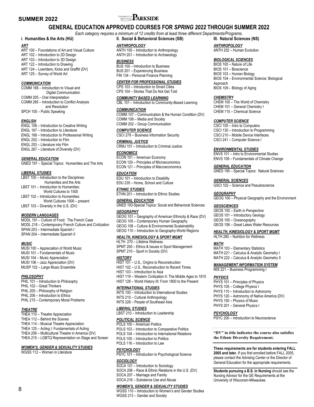# **SUMMER 2022 SUMMER 2022**

### **GENERAL EDUCATION APPROVED COURSES FOR** *SPRING 2022* **THROUGH SUMMER 2022**

*Each category requires a minimum of 12 credits from at least three different Departments/Programs.* **III. Natural Sciences (NS)** 

### **I. Humanities & the Arts (HU)**

#### *ART*

ART 100 – Foundations of Art and Visual Culture ART 102 – Introduction to 2D Design ART 103 – Introduction to 3D Design ART 122 – Introduction to Drawing ART 124 – Lowriders, Kicks and Graffiti (DV) ART 125 – Survey of World Art

#### *COMMUNICATION*

COMM 168 – Introduction to Visual and Digital Communication COMM 205 – Oral Interpretation COMM 285 – Introduction to Conflict Analysis and Resolution SPCH 105 – Public Speaking

#### *ENGLISH*

ENGL 106 – Introduction to Creative Writing ENGL 167 – Introduction to Literature ENGL 168 – Introduction to Professional Writing ENGL 252 – Introduction to Film ENGL 253 – Literature into Film ENGL 267 – Literature of Diversity (DV)

#### *GENERAL EDUCATION*

GNED 191 – Special Topics: Humanities and The Arts

#### *LIBERAL STUDIES*

| LBST 100 - Introduction to the Disciplines: |
|---------------------------------------------|
| Humanities and the Arts                     |
| LBST 101 - Introduction to Humanities:      |
| World Cultures to 1500                      |
| LBST 102 - Introduction to Humanities:      |
| World Cultures 1500 - present               |
| LBST 103 - Diversity in the U.S. (DV)       |

#### *MODERN LANGUAGES*

MODL 191 – Culture of Food: The French Case MODL 218 – Contemporary French Culture and Civilization SPAN 203 – Intermediate Spanish I SPAN 204 – Intermediate Spanish II

#### *MUSIC*

MUSI 100 – Appreciation of World Music MUSI 101 – Fundamentals of Music MUSI 104 – Music Appreciation MUSI 106 – Jazz Appreciation (DV) MUSP 102 – Large Music Ensemble

#### *PHILOSOPHY*

PHIL 101 – Introduction to Philosophy PHIL 102 – Great Thinkers PHIL 205 – Philosophy of Religion PHIL 206 – Introduction to Ethics PHIL 215 – Contemporary Moral Problems

#### *THEATRE*

THEA 110 – Theatre Appreciation THEA 112 – Behind the Scenes THEA 114 – Musical Theatre Appreciation THEA 125 – Acting I: Fundamentals of Acting THEA 208 – Multicultural Theatre in America (DV) THEA 215 – LGBTQ Representation on Stage and Screen

#### *WOMEN'S, GENDER & SEXUALITY STUDIES*

WGSS 112 – Women in Literature

### **II. Social & Behavioral Sciences (SB)**

### *ANTHROPOLOGY*

ANTH 100 – Introduction to Anthropology ANTH 201 – Introduction to Archaeology

#### *BUSINESS*

BUS 100 – Introduction to Business BUS 201 – Experiencing Business FIN 134 – Personal Finance Planning

### *CENTER FOR PROFESSIONAL STUDIES*

CPS 103 – Introduction to Smart Cities CPS 104 – Stories That Do Not Get Told

#### *COMMUNITY BASED LEARNING*

CBL 101 – Introduction to Community-Based Learning

#### *COMMUNICATION*

COMM 107 – Communication & the Human Condition (DV) COMM 108 – Media and Society COMM 202 – Group Communication

#### *COMPUTER SCIENCE*

CSCI 279 – Business Information Security

#### *CRIMINAL JUSTICE*

CRMJ 101 – Introduction to Criminal Justice

### *ECONOMICS*

ECON 101 – American Economy ECON 120 – Principles of Microeconomics ECON 121 – Principles of Macroeconomics

#### *EDUCATION*

EDU 101 – Introduction to Disability EDU 235 – Home, School and Culture

*ETHNIC STUDIES*  ETHN 201 – Introduction to Ethnic Studies

### **GENERAL EDUCATION**

GNED 193-Special Topics: Social and Behavioral Sciences

#### *GEOGRAPHY*

GEOG 101 – Geography of American Ethnicity & Race (DV)

- GEOG 105 Contemporary Human Geography
- GEOG 108 Culture & Environmental Sustainability
- GEOG 110 Introduction to Geography-World Regions

### *HEALTH, KINESIOLOGY & SPORT MGMT*

HLTH 270 – Lifetime Wellness SPMT 200 – Ethics & Issues in Sport Management SPMT 210 – Sport in Society (DV)

#### *HISTORY*

HIST 101 – U.S., Origins to Reconstruction HIST 102 – U.S., Reconstruction to Recent Times HIST 103 – Introduction to Asia HIST 119 – Western Civilization II: The Middle Ages to 1815 HIST 128 – World History III: From 1800 to the Present

#### *INTERNATIONAL STUDIES*

INTS 100 – Introduction to International Studies INTS 210 – Cultural Anthropology INTS 228 – People of Southeast Asia

### *LIBERAL STUDIES*

LBST 210 – Introduction to Leadership

#### *POLITICAL SCIENCE*

POLS 100 – American Politics POLS 103 – Introduction to Comparative Politics POLS 104 – Introduction to International Relations POLS 105 – Introduction to Politics POLS 116 – Introduction to Law

#### *PSYCHOLOGY*

PSYC 101 – Introduction to Psychological Science

#### *SOCIOLOGY*

SOCA 101 – Introduction to Sociology SOCA 206 – Race & Ethnic Relations in the U.S. (DV) SOCA 207 – Marriage and Family

#### SOCA 216 – Substance Use and Abuse

#### *WOMEN'S, GENDER & SEXUALITY STUDIES*

WGSS 110 – Introduction to Women's and Gender Studies WGSS 213 – Gender and Society

*ANTHROPOLOGY*  ANTH 202 – Human Evolution

#### *BIOLOGICAL SCIENCES*

BIOS 100 – Nature of Life BIOS 101 – Bioscience BIOS 103 – Human Biology BIOS 104 – Environmental Science: Biological Approach BIOS 109 – Biology of Aging

#### *CHEMISTRY*

CHEM 100 – The World of Chemistry CHEM 101 – General Chemistry I CHEM 115 – Chemical Science

#### *COMPUTER SCIENCE*

CSCI 105 – Intro to Computers CSCI 130 – Introduction to Programming CSCI 210 – Mobile Device Interfaces CSCI 241 – Computer Science I

#### *ENVIRONMENTAL STUDIES*

ENVS 101 – Intro to Environmental Studies ENVS 109 – Fundamentals of Climate Change

#### **GENERAL EDUCATION**

GNED 195 – Special Topics: Natural Sciences

#### *GENERAL SCIENCES*

GSCI 102 – Science and Pseudoscience

#### *GEOGRAPHY*

GEOG 100 – Physical Geography and the Environment

#### *GEOSCIENCES*

GEOS 100 – Earth in Perspective GEOS 101 – Introductory Geology GEOS 105 – Oceanography GEOS 106 – Great Lakes Water Resources

#### *HEALTH, KINESIOLOGY & SPORT MGMT*

HLTH 280 – Nutrition for Wellness

#### *MATH*

MATH 103 – Elementary Statistics MATH 221 – Calculus & Analytic Geometry I MATH 222 – Calculus & Analytic Geometry II

#### *MANAGEMENT INFORMATION SYSTEM*

MIS 221 – Business Programming I

#### *PHYSICS*

PHYS 101 – Principles of Physics PHYS 105 – College Physics I PHYS 110 – Introduction to Astronomy PHYS 120 – Astronomy of Native America (DV) PHYS 150 – Physics of Music PHYS 201 – General Physics I

#### *PSYCHOLOGY*

PSYC 200 – Introduction to Neuroscience

**"DV" in title indicates the course also satisfies the Ethnic Diversity Requirement.** 

**These requirements are for students entering FALL 2005 and later.** If you first enrolled before FALL 2005, please contact the Advising Center or the Director of General Education for the appropriate requirements.

**Students pursuing a B.S. in Nursing** should see the Nursing Advisor for the GE Requirements at the University of Wisconsin-Milwaukee.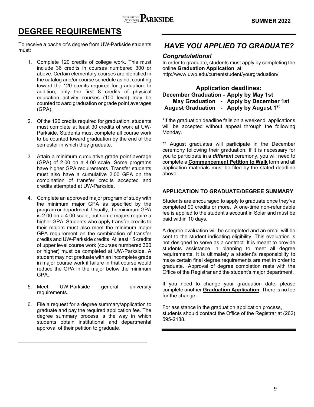# **DEGREE REQUIREMENTS**

To receive a bachelor's degree from UW-Parkside students must:

- 1. Complete 120 credits of college work. This must include 36 credits in courses numbered 300 or above. Certain elementary courses are identified in the catalog and/or course schedule as not counting toward the 120 credits required for graduation. In addition, only the first 8 credits of physical education activity courses (100 level) may be counted toward graduation or grade point averages (GPA).
- 2. Of the 120 credits required for graduation, students must complete at least 30 credits of work at UW-Parkside. Students must complete all course work to be counted toward graduation by the end of the semester in which they graduate.
- 3. Attain a minimum cumulative grade point average (GPA) of 2.00 on a 4.00 scale. Some programs have higher GPA requirements. Transfer students must also have a cumulative 2.00 GPA on the combination of transfer credits accepted and credits attempted at UW-Parkside.
- 4. Complete an approved major program of study with the minimum major GPA as specified by the program or department. Usually, the minimum GPA is 2.00 on a 4.00 scale, but some majors require a higher GPA. Students who apply transfer credits to their majors must also meet the minimum major GPA requirement on the combination of transfer credits and UW-Parkside credits. At least 15 credits of upper level course work (courses numbered 300 or higher) must be completed at UW-Parkside. A student may not graduate with an incomplete grade in major course work if failure in that course would reduce the GPA in the major below the minimum GPA.
- 5. Meet UW-Parkside general university requirements.
- 6. File a request for a degree summary/application to graduate and pay the required application fee. The degree summary process is the way in which students obtain institutional and departmental approval of their petition to graduate.

**\_\_\_\_\_\_\_\_\_\_\_\_\_\_\_\_\_\_\_\_\_\_\_\_\_\_\_\_\_\_\_\_\_\_\_\_\_\_\_\_\_\_\_\_\_** 

# *HAVE YOU APPLIED TO GRADUATE?*

**Congratulations!**<br>In order to graduate, students must apply by completing the online **Graduation Application** at:

http://www.uwp.edu/currentstudent/yourgraduation/

### **Application deadlines: December Graduation - Apply by May 1st May Graduation - Apply by December 1st August Graduation - Apply by August 1st**

\*If the graduation deadline falls on a weekend, applications will be accepted without appeal through the following Monday.

August graduates will participate in the December ceremony following their graduation. If it is necessary for you to participate in a *different* ceremony, you will need to complete a **Commencement Petition to Walk** form and all application materials must be filed by the stated deadline above.

### **APPLICATION TO GRADUATE/DEGREE SUMMARY**

Students are encouraged to apply to graduate once they've completed 90 credits or more. A one-time non-refundable fee is applied to the student's account in Solar and must be paid within 10 days.

A degree evaluation will be completed and an email will be sent to the student indicating eligibility. This evaluation is not designed to serve as a contract. It is meant to provide students assistance in planning to meet all degree requirements. It is ultimately a student's responsibility to make certain final degree requirements are met in order to graduate. Approval of degree completion rests with the Office of the Registrar and the student's major department.

If you need to change your graduation date, please complete another **Graduation Application**. There is no fee for the change.

For assistance in the graduation application process, students should contact the Office of the Registrar at (262) 595-2188.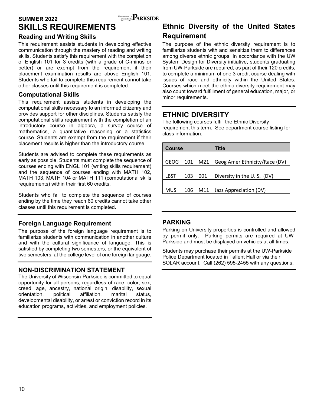# **SUMMER 2022** SUMMER 2022 **SKILLS REQUIREMENTS**

### **Reading and Writing Skills**

This requirement assists students in developing effective communication through the mastery of reading and writing skills. Students satisfy this requirement with the completion of English 101 for 3 credits (with a grade of C-minus or better) or are exempt from the requirement if their placement examination results are above English 101. Students who fail to complete this requirement cannot take other classes until this requirement is completed.

### **Computational Skills**

This requirement assists students in developing the computational skills necessary to an informed citizenry and provides support for other disciplines. Students satisfy the computational skills requirement with the completion of an introductory course in algebra, a survey course of mathematics, a quantitative reasoning or a statistics course. Students are exempt from the requirement if their placement results is higher than the introductory course.

Students are advised to complete these requirements as early as possible. Students must complete the sequence of courses ending with ENGL 101 (writing skills requirement) and the sequence of courses ending with MATH 102, MATH 103, MATH 104 or MATH 111 (computational skills requirements) within their first 60 credits.

Students who fail to complete the sequence of courses ending by the time they reach 60 credits cannot take other classes until this requirement is completed.

### **Foreign Language Requirement**

The purpose of the foreign language requirement is to familiarize students with communication in another culture and with the cultural significance of language. This is satisfied by completing two semesters, or the equivalent of two semesters, at the college level of one foreign language.

### **NON-DISCRIMINATION STATEMENT**

The University of Wisconsin-Parkside is committed to equal opportunity for all persons, regardless of race, color, sex, creed, age, ancestry, national origin, disability, sexual orientation, political affiliation, marital status, developmental disability, or arrest or conviction record in its education programs, activities, and employment policies.

# **Ethnic Diversity of the United States Requirement**

The purpose of the ethnic diversity requirement is to familiarize students with and sensitize them to differences among diverse ethnic groups. In accordance with the UW System Design for Diversity initiative, students graduating from UW-Parkside are required, as part of their 120 credits, to complete a minimum of one 3-credit course dealing with issues of race and ethnicity within the United States. Courses which meet the ethnic diversity requirement may also count toward fulfillment of general education, major, or minor requirements.

# **ETHNIC DIVERSITY**

The following courses fulfill the Ethnic Diversity requirement this term. See department course listing for class information.

| <b>Course</b> |     |     | Title                         |
|---------------|-----|-----|-------------------------------|
| <b>GEOG</b>   | 101 | M21 | Geog Amer Ethnicity/Race (DV) |
|               |     |     |                               |
| LBST          | 103 | 001 | Diversity in the U.S. (DV)    |
|               |     |     |                               |
| <b>MUSI</b>   | 106 | M11 | Jazz Appreciation (DV)        |

### **PARKING**

Parking on University properties is controlled and allowed by permit only. Parking permits are required at UW-Parkside and must be displayed on vehicles at all times.

Students may purchase their permits at the UW-Parkside Police Department located in Tallent Hall or via their SOLAR account. Call (262) 595-2455 with any questions.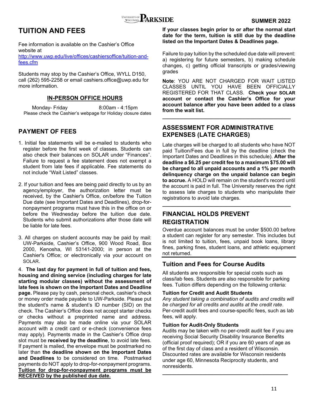

# **TUITION AND FEES**

Fee information is available on the Cashier's Office website at

http://www.uwp.edu/live/offices/cashiersoffice/tuition-andfees.cfm

Students may stop by the Cashier's Office, WYLL D150, call (262) 595-2258 or email cashiers.office@uwp.edu for more information.

### **IN-PERSON OFFICE HOURS**

Monday- Friday 8:00am - 4:15pm Please check the Cashier's webpage for Holiday closure dates

### **PAYMENT OF FEES**

- 1. Initial fee statements will be e-mailed to students who register before the first week of classes. Students can also check their balances on SOLAR under "Finances". Failure to request a fee statement does not exempt a student from late fees if applicable. Fee statements do not include "Wait Listed" classes.
- 2. If your tuition and fees are being paid directly to us by an agency/employer, the authorization letter must be received, by the Cashier's Office, on/before the Tuition Due date (see Important Dates and Deadlines), drop-fornonpayment programs must have this in the office on or before the Wednesday before the tuition due date. Students who submit authorizations after those date will be liable for late fees.
- 3. All charges on student accounts may be paid by mail: UW-Parkside, Cashier's Office, 900 Wood Road, Box 2000, Kenosha, WI 53141-2000; in person at the Cashier's Office; or electronically via your account on SOLAR.

4. **The last day for payment in full of tuition and fees, housing and dining service (including charges for late starting modular classes) without the assessment of late fees is shown on the Important Dates and Deadline page.** Please pay by cash, personal check, cashier's check or money order made payable to UW-Parkside. Please put the student's name & student's ID number (SID) on the check. The Cashier's Office does not accept starter checks or checks without a preprinted name and address. Payments may also be made online via your SOLAR account with a credit card or e-check (convenience fees may apply). Payments made in the Cashier's Office drop slot must be **received by the deadline**, to avoid late fees. If payment is mailed, the envelope must be postmarked no later than **the deadline shown on the Important Dates and Deadlines** to be considered on time. Postmarked payments do NOT apply to drop-for-nonpayment programs. **Tuition for drop-for-nonpayment programs must be RECEIVED by the published due date.** 

### **If your classes begin prior to or after the normal start date for the term, tuition is still due by the deadline listed on the Important Dates & Deadlines page.**

Failure to pay tuition by the scheduled due date will prevent: a) registering for future semesters, b) making schedule changes, c) getting official transcripts or grades/viewing grades

**Note**: YOU ARE NOT CHARGED FOR WAIT LISTED CLASSES UNTIL YOU HAVE BEEN OFFICIALLY REGISTERED FOR THAT CLASS. **Check your SOLAR account or contact the Cashier's Office for your account balance after you have been added to a class from the wait list.** 

**\_\_\_\_\_\_\_\_\_\_\_\_\_\_\_\_\_\_\_\_\_\_\_\_\_\_\_\_\_\_\_\_\_\_\_\_\_\_\_\_\_\_\_\_\_**

### **ASSESSMENT FOR ADMINISTRATIVE EXPENSES (LATE CHARGES)**

Late charges will be charged to all students who have NOT paid Tuition/Fees due in full by the deadline (check the Important Dates and Deadlines in this schedule). **After the deadline a \$6.25 per credit fee to a maximum \$75.00 will be charged to all unpaid accounts and a 1% per month delinquency charge on the unpaid balance can begin to accrue.** A HOLD will remain on the student's record until the account is paid in full. The University reserves the right to assess late charges to students who manipulate their registrations to avoid late charges.

**\_\_\_\_\_\_\_\_\_\_\_\_\_\_\_\_\_\_\_\_\_\_\_\_\_\_\_\_\_\_\_\_\_\_\_\_\_\_\_\_\_\_\_\_\_**

### **FINANCIAL HOLDS PREVENT REGISTRATION**

Overdue account balances must be under \$500.00 before a student can register for any semester. This includes but is not limited to tuition, fees, unpaid book loans, library fines, parking fines, student loans, and athletic equipment not returned.

### **Tuition and Fees for Course Audits**

All students are responsible for special costs such as class/lab fees. Students are also responsible for parking fees. Tuition differs depending on the following criteria:

### **Tuition for Credit and Audit Students**

*Any student taking a combination of audits and credits will be charged for all credits and audits at the credit rate*. Per-credit audit fees and course-specific fees, such as lab fees, will apply.

### **Tuition for Audit-Only Students**

Audits may be taken with no per-credit audit fee if you are receiving Social Security Disability Insurance Benefits (official proof required); OR if you are 60 years of age as of the first day of class and a resident of Wisconsin. Discounted rates are available for Wisconsin residents under age 60, Minnesota Reciprocity students, and nonresidents.

**\_\_\_\_\_\_\_\_\_\_\_\_\_\_\_\_\_\_\_\_\_\_\_\_\_\_\_\_\_\_\_\_\_\_\_\_\_\_\_\_\_\_\_\_**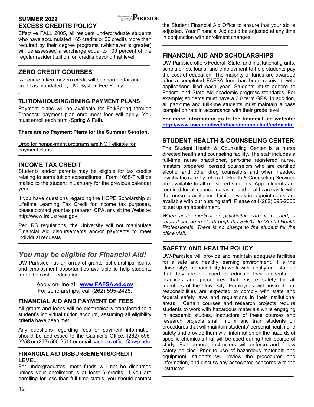

### **SUMMER 2022 SUMMER 2022 EXCESS CREDITS POLICY**

Effective FALL 2005, all resident undergraduate students who have accumulated 165 credits or 30 credits more than required by their degree programs (whichever is greater) will be assessed a surcharge equal to 100 percent of the regular resident tuition, on credits beyond that level.

**\_\_\_\_\_\_\_\_\_\_\_\_\_\_\_\_\_\_\_\_\_\_\_\_\_\_\_\_\_\_\_\_\_\_\_\_\_\_\_\_\_\_\_\_\_\_** 

### **ZERO CREDIT COURSES**

 A course taken for zero credit will be charged for one credit as mandated by UW-System Fee Policy.

### **TUITION/HOUSING/DINING PAYMENT PLANS**

Payment plans will be available for Fall/Spring through Transact; payment plan enrollment fees will apply. You must enroll each term (Spring & Fall).

**\_\_\_\_\_\_\_\_\_\_\_\_\_\_\_\_\_\_\_\_\_\_\_\_\_\_\_\_\_\_\_\_\_\_\_\_\_\_\_\_\_\_\_\_\_\_\_**

### **There are no Payment Plans for the Summer Session.**

Drop for nonpayment programs are NOT eligible for payment plans.

### **INCOME TAX CREDIT**

Students and/or parents may be eligible for tax credits relating to some tuition expenditures. Form 1098-T will be mailed to the student in January for the previous calendar year.

If you have questions regarding the HOPE Scholarship or Lifetime Learning Tax Credit for income tax purposes, please contact your tax preparer, CPA, or visit the Website: http://www.irs.ustreas.gov.

Per IRS regulations, the University will not manipulate Financial Aid disbursements and/or payments to meet individual requests.

# *You may be eligible for Financial Aid!*

UW-Parkside has an array of grants, scholarships, loans, and employment opportunities available to help students meet the cost of education.

> Apply on-line at: **www.FAFSA.ed.gov** For scholarships, call (262) 595-2428.

### **FINANCIAL AID AND PAYMENT OF FEES**

All grants and loans will be electronically transferred to a student's individual tuition account, assuming all eligibility criteria have been met.

Any questions regarding fees or payment information should be addressed to the Cashier's Office, (262) 595- 2258 or (262) 595-2511 or email cashiers.office@uwp.edu.

### **FINANCIAL AID DISBURSEMENTS/CREDIT LEVEL**

For undergraduates, most funds will not be disbursed unless your enrollment is at least 6 credits. If you are enrolling for less than full-time status, you should contact the Student Financial Aid Office to ensure that your aid is adjusted. Your Financial Aid could be adjusted at any time in conjunction with enrollment changes.

**\_\_\_\_\_\_\_\_\_\_\_\_\_\_\_\_\_\_\_\_\_\_\_\_\_\_\_\_\_\_\_\_\_\_\_\_\_\_\_\_\_\_\_\_** 

### **FINANCIAL AID AND SCHOLARSHIPS**

UW-Parkside offers Federal, State, and institutional grants, scholarships, loans, and employment to help students pay the cost of education. The majority of funds are awarded after a completed FAFSA form has been received, with applications filed each year. Students must adhere to Federal and State Aid academic progress standards. For example; students must have a 2.0 term GPA. In addition, all part-time and full-time students must maintain a pass completion rate in accordance with their grade level.

**For more information go to the financial aid website: http://www.uwp.edu/live/offices/financialaid/index.cfm**

### **STUDENT HEALTH & COUNSELING CENTER**

**\_\_\_\_\_\_\_\_\_\_\_\_\_\_\_\_\_\_\_\_\_\_\_\_\_\_\_\_\_\_\_\_\_\_\_\_\_\_\_\_\_\_\_\_** 

The Student Health & Counseling Center is a nurse directed health and counseling facility. The staff includes a full-time nurse practitioner, part-time registered nurse, masters prepared licensed counselors who are certified alcohol and other drug counselors and when needed, psychiatric care by referral. Health & Counseling Services are available to all registered students. Appointments are required for all counseling visits, and healthcare visits with the nurse practitioner. Limited walk-in appointments are available with our nursing staff. Please call (262) 595-2366 to set up an appointment.

*When acute medical or psychiatric care is needed, a referral can be made through the SHCC; to Mental Health Professionals. There is no charge to the student for the office visit.* 

**\_\_\_\_\_\_\_\_\_\_\_\_\_\_\_\_\_\_\_\_\_\_\_\_\_\_\_\_\_\_\_\_\_\_\_\_\_\_\_\_\_\_\_\_\_\_** 

### **SAFETY AND HEALTH POLICY**

UW-Parkside will provide and maintain adequate facilities for a safe and healthy learning environment. It is the University's responsibility to work with faculty and staff so that they are equipped to educate their students on practices and procedures that ensure safety for all members of the University. Employees with instructional responsibilities are expected to comply with state and federal safety laws and regulations in their institutional areas. Certain courses and research projects require students to work with hazardous materials while engaging in academic studies. Instructors of these courses and research projects shall inform and train students on procedures that will maintain students' personal health and safety and provide them with information on the hazards of specific chemicals that will be used during their course of study. Furthermore, instructors will enforce and follow safety policies. Prior to use of hazardous materials and equipment, students will review the procedures and information, and discuss any associated concerns with the instructor.

**\_\_\_\_\_\_\_\_\_\_\_\_\_\_\_\_\_\_\_\_\_\_\_\_\_\_\_\_\_\_\_\_\_\_\_\_\_\_\_\_\_\_\_\_\_\_**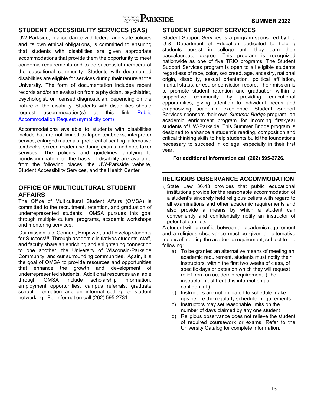

### **STUDENT ACCESSIBILITY SERVICES (SAS)**

UW-Parkside, in accordance with federal and state policies and its own ethical obligations, is committed to ensuring that students with disabilities are given appropriate accommodations that provide them the opportunity to meet academic requirements and to be successful members of the educational community. Students with documented disabilities are eligible for services during their tenure at the University. The form of documentation includes recent records and/or an evaluation from a physician, psychiatrist, psychologist, or licensed diagnostician, depending on the nature of the disability. Students with disabilities should request accommodation(s) at this link Public Accommodation Request (symplicity.com)

Accommodations available to students with disabilities include but are not limited to taped textbooks, interpreter service, enlarged materials, preferential seating, alternative textbooks, screen reader use during exams, and note taker services. The policies and guidelines applying to nondiscrimination on the basis of disability are available from the following places: the UW-Parkside website, Student Accessibility Services, and the Health Center.

**\_\_\_\_\_\_\_\_\_\_\_\_\_\_\_\_\_\_\_\_\_\_\_\_\_\_\_\_\_\_\_\_\_\_\_\_\_\_\_\_\_\_\_\_\_\_** 

### **OFFICE OF MULTICULTURAL STUDENT AFFAIRS**

The Office of Multicultural Student Affairs (OMSA) is committed to the recruitment, retention, and graduation of underrepresented students. OMSA pursues this goal through multiple cultural programs, academic workshops and mentoring services.

Our mission is to Connect, Empower, and Develop students for Success!!! Through academic initiatives students, staff, and faculty share an enriching and enlightening connection to one another, the University of Wisconsin-Parkside Community, and our surrounding communities. Again, it is the goal of OMSA to provide resources and opportunities that enhance the growth and development of underrepresented students. Additional resources available through OMSA include scholarship information, employment opportunities, campus referrals, graduate school information and an informal setting for student networking. For information call (262) 595-2731.

**\_\_\_\_\_\_\_\_\_\_\_\_\_\_\_\_\_\_\_\_\_\_\_\_\_\_\_\_\_\_\_\_\_\_\_\_\_\_\_\_\_\_\_\_\_\_** 

### **STUDENT SUPPORT SERVICES**

Student Support Services is a program sponsored by the U.S. Department of Education dedicated to helping students persist in college until they earn their baccalaureate degree. This program is recognized nationwide as one of five TRIO programs. The Student Support Services program is open to all eligible students regardless of race, color, sex creed, age, ancestry, national origin, disability, sexual orientation, political affiliation, marital status, arrest, or conviction record. Their mission is to promote student retention and graduation within a supportive community by providing educational opportunities, giving attention to individual needs and emphasizing academic excellence. Student Support Services sponsors their own *Summer Bridge* program, an academic enrichment program for incoming first-year students of UW-Parkside. This Summer Bridge program is designed to enhance a student's reading, composition and critical thinking skills to help students build the foundations necessary to succeed in college, especially in their first year.

**For additional information call (262) 595-2726.** 

### **RELIGIOUS OBSERVANCE ACCOMMODATION**

1) State Law 36.43 provides that public educational institutions provide for the reasonable accommodation of a student's sincerely held religious beliefs with regard to all examinations and other academic requirements and also provide a means by which a student can conveniently and confidentially notify an instructor of potential conflicts.

A student with a conflict between an academic requirement and a religious observance must be given an alternative means of meeting the academic requirement, subject to the following:

- a) To be granted an alternative means of meeting an academic requirement, students must notify their instructors, within the first two weeks of class, of specific days or dates on which they will request relief from an academic requirement. (The instructor must treat this information as confidential.)
- b) Instructors are not obligated to schedule makeups before the regularly scheduled requirements.
- c) Instructors may set reasonable limits on the number of days claimed by any one student
- d) Religious observance does not relieve the student of required coursework or exams. Refer to the University Catalog for complete information.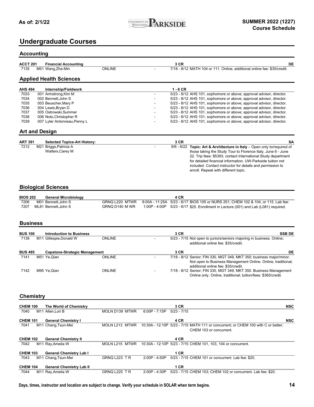### **Undergraduate Courses**

### **Accounting**

| <b>ACCT 201</b> | <b>Financial Accounting</b> |        | ם מ<br>J UR | DE                                                                       |
|-----------------|-----------------------------|--------|-------------|--------------------------------------------------------------------------|
| 7135            | M51 Wang,Zhe-Min            | ONLINE |             | 7/18 - 8/12 MATH 104 or 111. Online: additional online fee: \$35/credit. |

### **Applied Health Sciences**

| <b>AHS 494</b> | Internship/Fieldwork         |   | 1 - 6 CR                                                             |
|----------------|------------------------------|---|----------------------------------------------------------------------|
| 7033           | 001 Armstrong, Kim M         | - | 5/23 - 8/12 AHS 101, sophomore or above; approval advisor, director. |
| 7034           | 002 Bennett.John S           | - | 5/23 - 8/12 AHS 101, sophomore or above; approval advisor, director. |
| 7035           | 003 Beuscher Mary P          | - | 5/23 - 8/12 AHS 101, sophomore or above; approval advisor, director. |
| 7036           | 004 Lewis, Bryan D           |   | 5/23 - 8/12 AHS 101, sophomore or above; approval advisor, director. |
| 7037           | 005 Ostrowski.Summer         |   | 5/23 - 8/12 AHS 101, sophomore or above; approval advisor, director. |
| 7038           | 006 Noto.Christopher R       |   | 5/23 - 8/12 AHS 101, sophomore or above; approval advisor, director. |
| 7039           | 007 Lyter Antonneau, Penny L |   | 5/23 - 8/12 AHS 101, sophomore or above; approval advisor, director. |

#### **Art and Design**

| <b>ART 391</b> | <b>Selected Topics-Art History:</b> | 3 CR | <b>SA</b>                                                                    |
|----------------|-------------------------------------|------|------------------------------------------------------------------------------|
| 7212           | M21 Briggs,Patricia A               |      | $6/6$ - $6/22$ Topic: Art & Architecture in Italy – Open only to/required of |
|                | Watters, Carey M                    |      | those taking the Study Tour to Florence Italy, June 6 - June                 |
|                |                                     |      | 22. Trip fees: \$5393, contact International Study department                |
|                |                                     |      | for detailed financial information. UW-Parkside tuition not                  |
|                |                                     |      | included. Contact instructor for details and permission to                   |
|                |                                     |      | enroll. Repeat with different topic.                                         |

### **Biological Sciences**

| <b>BIOS 202</b> | <b>General Microbiology</b> |                | 4 CR                                                                                             |
|-----------------|-----------------------------|----------------|--------------------------------------------------------------------------------------------------|
| 7206            | M01 Bennett.John S          |                | GRNQ L220 MTWR 8:00A - 11:25A 5/23 - 6/17 BIOS 105 or NURS 251; CHEM 102 & 104, or 115. Lab fee: |
| 7207            | ML81 Bennett.John S         | GRNQ D140 M WR | 1:00P - 4:00P $5/23$ - 6/17 \$25. Enrollment in Lecture (001) and Lab (L081) required.           |

### **Business**

| <b>BUS 100</b> |                         | <b>Introduction to Business</b>      | 3 CR                                                                                                         | <b>SSB DE</b>                                                        |
|----------------|-------------------------|--------------------------------------|--------------------------------------------------------------------------------------------------------------|----------------------------------------------------------------------|
| 7138           | M11 Gillespie, Donald W | <b>ONLINE</b>                        | 5/23 - 7/15 Not open to juniors/seniors majoring in business. Online;<br>additional online fee: \$35/credit. |                                                                      |
| <b>BUS 495</b> |                         | <b>Capstone-Strategic Management</b> | 3 CR                                                                                                         | DE                                                                   |
| 7141           | M51 Ye.Qian             | <b>ONLINE</b>                        |                                                                                                              | 7/18 - 8/12 Senior; FIN 330, MGT 349, MKT 350; business major/minor. |
|                |                         |                                      |                                                                                                              | Not open to Business Management Online. Online, traditional;         |
|                |                         |                                      | additional online fee: \$35/credit.                                                                          |                                                                      |
| 7142           | M95 Ye,Qian             | <b>ONLINE</b>                        |                                                                                                              | 7/18 - 8/12 Senior; FIN 330, MGT 349, MKT 350. Business Management   |
|                |                         |                                      |                                                                                                              | Online only. Online, traditional; tuition/fees: \$365/credit.        |

### **Chemistry**

| <b>CHEM 100</b> | The World of Chemistry          |                      |                 | 3 CR                                                                                                         | <b>NSC</b> |
|-----------------|---------------------------------|----------------------|-----------------|--------------------------------------------------------------------------------------------------------------|------------|
| 7040            | M11 Allen.Lori B                | MOLN D139 MTWR       | $6:00P - 7:15P$ | $5/23 - 7/15$                                                                                                |            |
| <b>CHEM 101</b> | <b>General Chemistry I</b>      |                      |                 | 4 CR                                                                                                         | <b>NSC</b> |
| 7041            | M11 Chang, Tsun-Mei             | MOLN L213 MTWR       |                 | 10:30A - 12:10P 5/23 - 7/15 MATH 111 or concurrent; or CHEM 100 with C or better;<br>CHEM 103 or concurrent. |            |
| <b>CHEM 102</b> | <b>General Chemistry II</b>     |                      |                 | 4 CR                                                                                                         |            |
| 7042            | M11 Ray, Amelia W               | MOLN L215 MTWR       |                 | 10:30A - 12:10P 5/23 - 7/15 CHEM 101, 103, 104 or concurrent.                                                |            |
| <b>CHEM 103</b> | <b>General Chemistry Lab I</b>  |                      |                 | 1 CR                                                                                                         |            |
| 7043            | M11 Chang, Tsun-Mei             | <b>GRNQ L223 TR</b>  | $2:00P - 4:50P$ | 5/23 - 7/15 CHEM 101 or concurrent. Lab fee: \$20.                                                           |            |
| <b>CHEM 104</b> | <b>General Chemistry Lab II</b> |                      |                 | 1 CR                                                                                                         |            |
| 7044            | M11 Ray, Amelia W               | <b>GRNQ L225 T R</b> | $2:00P - 4:30P$ | 5/23 - 7/15 CHEM 103; CHEM 102 or concurrent. Lab fee: \$20.                                                 |            |

**Days, times, instructor and location are subject to change. Verify your schedule in SOLAR when term begins. 14**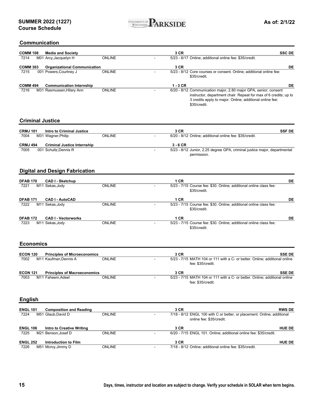

### **Communication**

| <b>∪บแแนแเนนเ</b> น     |                                       |               |                                                                                                     |                                                                                                                              |
|-------------------------|---------------------------------------|---------------|-----------------------------------------------------------------------------------------------------|------------------------------------------------------------------------------------------------------------------------------|
| <b>COMM 108</b>         | <b>Media and Society</b>              |               | 3 CR                                                                                                | <b>SSC DE</b>                                                                                                                |
| 7214                    | M01 Arcy, Jacquelyn H                 | <b>ONLINE</b> | 5/23 - 6/17 Online; additional online fee: \$35/credit.                                             |                                                                                                                              |
| <b>COMM 303</b>         | <b>Organizational Communication</b>   |               | 3 CR                                                                                                | DE                                                                                                                           |
| 7215                    | 001 Powers, Courtney J                | <b>ONLINE</b> | 5/23 - 8/12 Core courses or consent. Online; additional online fee:<br>\$35/credit.                 |                                                                                                                              |
| <b>COMM 494</b>         | <b>Communication Internship</b>       |               | $1 - 3$ CR                                                                                          | DE                                                                                                                           |
| 7216                    | M31 Rasmussen, Hilary Ann             | <b>ONLINE</b> | 6/20 - 8/12 Communication major, 2.80 major GPA, senior; consent<br>\$35/credit.                    | instructor, department chair. Repeat for max of 6 credits; up to<br>3 credits apply to major. Online; additional online fee: |
| <b>Criminal Justice</b> |                                       |               |                                                                                                     |                                                                                                                              |
| <b>CRMJ 101</b>         | <b>Intro to Criminal Justice</b>      |               | 3 CR                                                                                                | <b>SSF DE</b>                                                                                                                |
| 7004                    | M31 Wagner, Philip                    | <b>ONLINE</b> | 6/20 - 8/12 Online; additional online fee: \$35/credit.                                             |                                                                                                                              |
| <b>CRMJ 494</b>         | <b>Criminal Justice Internship</b>    |               | $3 - 6$ CR                                                                                          |                                                                                                                              |
| 7005                    | 001 Schultz, Dennis R                 |               | 5/23 - 8/12 Junior, 2.25 degree GPA, criminal justice major, departmental<br>permission.            |                                                                                                                              |
|                         | <b>Digital and Design Fabrication</b> |               |                                                                                                     |                                                                                                                              |
| <b>DFAB 170</b>         | <b>CAD I - Sketchup</b>               |               | 1 CR                                                                                                | DE                                                                                                                           |
| 7221                    | M11 Sekas, Jody                       | <b>ONLINE</b> | 5/23 - 7/15 Course fee: \$30. Online; additional online class fee:<br>\$35/credit.                  |                                                                                                                              |
| <b>DFAB 171</b>         | <b>CAD I - AutoCAD</b>                |               | 1 CR                                                                                                | DE                                                                                                                           |
| 7222                    | M11 Sekas, Jody                       | <b>ONLINE</b> | 5/23 - 7/15 Course fee: \$30. Online; additional online class fee:<br>\$35/credit.                  |                                                                                                                              |
| <b>DFAB 172</b>         | <b>CAD I - Vectorworks</b>            |               | 1 CR                                                                                                | DE                                                                                                                           |
| 7223                    | M11 Sekas, Jody                       | <b>ONLINE</b> | 5/23 - 7/15 Course fee: \$30. Online; additional online class fee:<br>\$35/credit.                  |                                                                                                                              |
| <b>Economics</b>        |                                       |               |                                                                                                     |                                                                                                                              |
| <b>ECON 120</b>         | <b>Principles of Microeconomics</b>   |               | 3 CR                                                                                                | <b>SSE DE</b>                                                                                                                |
| 7002                    | M11 Kaufman, Dennis A                 | <b>ONLINE</b> | 5/23 - 7/15 MATH 104 or 111 with a C- or better. Online; additional online<br>fee: \$35/credit.     |                                                                                                                              |
| <b>ECON 121</b>         | <b>Principles of Macroeconomics</b>   |               | 3 CR                                                                                                | <b>SSE DE</b>                                                                                                                |
| 7003                    | M11 Faheem, Adeel                     | ONLINE        | 5/23 - 7/15 MATH 104 or 111 with a C- or better. Online; additional online<br>fee: \$35/credit.     |                                                                                                                              |
| <b>English</b>          |                                       |               |                                                                                                     |                                                                                                                              |
| <b>ENGL 101</b>         | <b>Composition and Reading</b>        |               | 3 CR                                                                                                | <b>RWS DE</b>                                                                                                                |
| 7224                    | M51 Glaub, David D                    | <b>ONLINE</b> | 7/18 - 8/12 ENGL 100 with C or better, or placement. Online; additional<br>online fee: \$35/credit. |                                                                                                                              |
| <b>ENGL 106</b>         | <b>Intro to Creative Writing</b>      |               | 3 CR                                                                                                | <b>HUE DE</b>                                                                                                                |
| 7225                    | M21 Benson, Josef D                   | <b>ONLINE</b> | 6/20 - 7/15 ENGL 101. Online; additional online fee: \$35/credit.                                   |                                                                                                                              |
| <b>ENGL 252</b>         | <b>Introduction to Film</b>           |               | 3 CR                                                                                                | <b>HUE DE</b>                                                                                                                |
| 7226                    | M51 Mcroy, Jimmy D                    | <b>ONLINE</b> | 7/18 - 8/12 Online; additional online fee: \$35/credit.                                             |                                                                                                                              |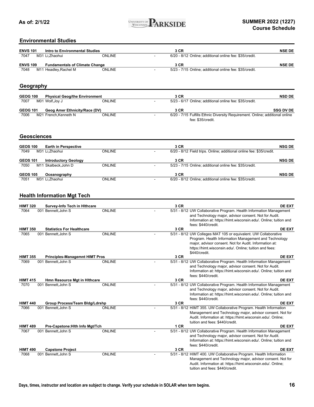

### **Environmental Studies**

| <b>ENVS 101</b> | Intro to Environmental Studies        |               | 3 CR                                                    | <b>NSE DE</b> |
|-----------------|---------------------------------------|---------------|---------------------------------------------------------|---------------|
| 7047            | M31 Li.Zhaohui                        | <b>ONLINE</b> | 6/20 - 8/12 Online; additional online fee: \$35/credit. |               |
| <b>ENVS 109</b> | <b>Fundamentals of Climate Change</b> |               | 3 CR                                                    | <b>NSE DE</b> |
| 7048            | M11 Headley, Rachel M                 | <b>ONLINE</b> | 5/23 - 7/15 Online; additional online fee: \$35/credit. |               |
|                 |                                       |               |                                                         |               |
|                 | Geography                             |               |                                                         |               |
| <b>GEOG 100</b> | <b>Physical Geog/the Environment</b>  |               | 3 CR                                                    | <b>NSD DE</b> |
| 7007            | M01 Wolf, Joy J                       | <b>ONLINE</b> | 5/23 - 6/17 Online: additional online fee: \$35/credit. |               |

| <b>GEOG 101</b> | <b>Geog Amer Ethnicity/Race (DV)</b> |               |                   | <b>SSG DV DE</b>                                                             |
|-----------------|--------------------------------------|---------------|-------------------|------------------------------------------------------------------------------|
| 7006            | M21 French.Kenneth N                 | <b>ONLINE</b> |                   | 6/20 - 7/15 Fulfills Ethnic Diversity Requirement. Online; additional online |
|                 |                                      |               | fee: \$35/credit. |                                                                              |

### **Geosciences**

| <b>GEOS 100</b><br>7049 | <b>Earth in Perspective</b><br>M31 Li.Zhaohui      | <b>ONLINE</b> |   | 3 CR<br>6/20 - 8/12 Field trips. Online; additional online fee: \$35/credit. | <b>NSG DE</b> |
|-------------------------|----------------------------------------------------|---------------|---|------------------------------------------------------------------------------|---------------|
| <b>GEOS 101</b><br>7050 | <b>Introductory Geology</b><br>M11 Skalbeck.John D | <b>ONLINE</b> | - | 3 CR<br>5/23 - 7/15 Online; additional online fee: \$35/credit.              | <b>NSG DE</b> |
| <b>GEOS 105</b><br>7051 | Oceanography<br>M31 Li.Zhaohui                     | <b>ONLINE</b> |   | 3 CR<br>6/20 - 8/12 Online; additional online fee: \$35/credit.              | <b>NSG DE</b> |

### **Health Information Mgt Tech**

| <b>HIMT 320</b> | <b>Survey-Info Tech in Hithcare</b>   |               | 3 CR | <b>DE EXT</b>                                                                                                                                                                                                                                                 |
|-----------------|---------------------------------------|---------------|------|---------------------------------------------------------------------------------------------------------------------------------------------------------------------------------------------------------------------------------------------------------------|
| 7064            | 001 Bennett, John S                   | <b>ONLINE</b> |      | 5/31 - 8/12 UW Collaborative Program. Health Information Management<br>and Technology major, advisor consent. Not for Audit.<br>Information at: https://himt.wisconsin.edu/. Online; tuition and<br>fees: \$440/credit.                                       |
| <b>HIMT 350</b> | <b>Statistics For Healthcare</b>      |               | 3 CR | <b>DE EXT</b>                                                                                                                                                                                                                                                 |
| 7065            | 001 Bennett. John S                   | <b>ONLINE</b> |      | 5/31 - 8/12 UW Colleges MAT 105 or equivalent. UW Collaborative<br>Program. Health Information Management and Technology<br>major, advisor consent. Not for Audit. Information at:<br>https://himt.wisconsin.edu/. Online; tuition and fees:<br>\$440/credit. |
| <b>HIMT 355</b> | <b>Principles-Managemnt HIMT Pros</b> |               | 3 CR | <b>DE EXT</b>                                                                                                                                                                                                                                                 |
| 7069            | 001 Bennett.John S                    | <b>ONLINE</b> |      | 5/31 - 8/12 UW Collaborative Program. Health Information Management<br>and Technology major, advisor consent. Not for Audit.<br>Information at: https://himt.wisconsin.edu/. Online; tuition and<br>fees: \$440/credit.                                       |
| <b>HIMT 415</b> | <b>Hmn Resource Mgt in Hithcare</b>   |               | 3 CR | <b>DE EXT</b>                                                                                                                                                                                                                                                 |
| 7070            | 001 Bennett, John S                   | <b>ONLINE</b> |      | 5/31 - 8/12 UW Collaborative Program. Health Information Management<br>and Technology major, advisor consent. Not for Audit.<br>Information at: https://himt.wisconsin.edu/. Online; tuition and<br>fees: \$440/credit.                                       |
| <b>HIMT 440</b> | Group Process/Team Bldg/Ldrshp        |               | 3 CR | <b>DE EXT</b>                                                                                                                                                                                                                                                 |
| 7066            | 001 Bennett, John S                   | <b>ONLINE</b> |      | 5/31 - 8/12 HIMT 355. UW Collaborative Program. Health Information<br>Management and Technology major, advisor consent. Not for<br>Audit. Information at: https://himt.wisconsin.edu/. Online;<br>tuition and fees: \$440/credit.                             |
| <b>HIMT 489</b> | Pre-Capstone: Hith Info Mgt/Tch       |               | 1 CR | DE EXT                                                                                                                                                                                                                                                        |
| 7067            | 001 Bennett, John S                   | <b>ONLINE</b> |      | 5/31 - 8/12 UW Collaborative Program. Health Information Management<br>and Technology major, advisor consent. Not for Audit.<br>Information at: https://himt.wisconsin.edu/. Online; tuition and<br>fees: \$440/credit.                                       |
| <b>HIMT 490</b> | <b>Capstone Project</b>               |               | 3 CR | <b>DE EXT</b>                                                                                                                                                                                                                                                 |
| 7068            | 001 Bennett, John S                   | <b>ONLINE</b> |      | 5/31 - 8/12 HIMT 400. UW Collaborative Program. Health Information<br>Management and Technology major, advisor consent. Not for<br>Audit. Information at: https://himt.wisconsin.edu/. Online;<br>tuition and fees: \$440/credit.                             |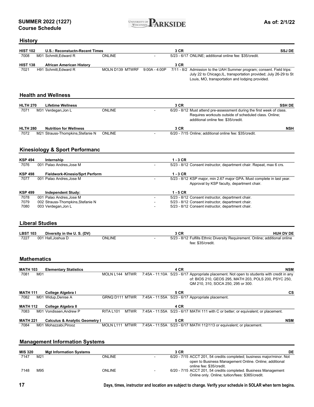

### **History**

| <b>HIST 102</b>         | <b>U.S.: Reconstuctn-Recent Times</b>                                      |                   |                 | 3 CR       | <b>SSJ DE</b>                                                                                                                                                                                             |            |
|-------------------------|----------------------------------------------------------------------------|-------------------|-----------------|------------|-----------------------------------------------------------------------------------------------------------------------------------------------------------------------------------------------------------|------------|
| 7008                    | M01 Schmitt, Edward R                                                      | <b>ONLINE</b>     |                 |            | 5/23 - 6/17 ONLINE; additional online fee: \$35/credit.                                                                                                                                                   |            |
| <b>HIST 138</b>         | <b>African American History</b>                                            |                   |                 | 3 CR       |                                                                                                                                                                                                           |            |
| 7021                    | H91 Schmitt. Edward R                                                      | MOLN D139 MTWRF   | $9:00A - 4:00P$ |            | 7/11 - 8/2 Admission to the UAH Summer program; consent. Field trips:<br>July 22 to Chicago, IL, transportation provided; July 26-29 to St<br>Louis, MO, transportation and lodging provided.             |            |
|                         | <b>Health and Wellness</b>                                                 |                   |                 |            |                                                                                                                                                                                                           |            |
| <b>HLTH 270</b>         | <b>Lifetime Wellness</b>                                                   |                   |                 | 3 CR       | <b>SSH DE</b>                                                                                                                                                                                             |            |
| 7071                    | M31 Verdegan, Jon L                                                        | <b>ONLINE</b>     |                 |            | 6/20 - 8/12 Must attend pre-assessment during the first week of class.<br>Requires workouts outside of scheduled class. Online;<br>additional online fee: \$35/credit.                                    |            |
| <b>HLTH 280</b>         | <b>Nutrition for Wellness</b>                                              |                   |                 | 3 CR       |                                                                                                                                                                                                           | <b>NSH</b> |
| 7072                    | M21 Strauss-Thompkins, Stefanie N                                          | <b>ONLINE</b>     |                 |            | 6/20 - 7/15 Online; additional online fee: \$35/credit.                                                                                                                                                   |            |
|                         | <b>Kinesiology &amp; Sport Performanc</b>                                  |                   |                 |            |                                                                                                                                                                                                           |            |
| <b>KSP 494</b>          | Internship                                                                 |                   |                 | $1 - 3$ CR |                                                                                                                                                                                                           |            |
| 7076                    | 001 Palao Andres, Jose M                                                   |                   |                 |            | 5/23 - 8/12 Consent instructor, department chair. Repeat, max 6 crs.                                                                                                                                      |            |
|                         |                                                                            |                   |                 | $1 - 3$ CR |                                                                                                                                                                                                           |            |
| <b>KSP 498</b><br>7077  | <b>Fieldwork-Kinesio/Sprt Perform</b><br>001 Palao Andres, Jose M          |                   |                 |            | 5/23 - 8/12 KSP major, min 2.67 major GPA. Must complete in last year.                                                                                                                                    |            |
|                         |                                                                            |                   |                 |            | Approval by KSP faculty, department chair.                                                                                                                                                                |            |
| <b>KSP 499</b>          | <b>Independent Study:</b>                                                  |                   |                 | $1 - 5$ CR |                                                                                                                                                                                                           |            |
| 7078                    | 001 Palao Andres, Jose M                                                   |                   |                 |            | 5/23 - 8/12 Consent instructor, department chair.                                                                                                                                                         |            |
| 7079<br>7080            | 002 Strauss-Thompkins, Stefanie N<br>003 Verdegan, Jon L                   |                   |                 |            | 5/23 - 8/12 Consent instructor, department chair.<br>5/23 - 8/12 Consent instructor, department chair.                                                                                                    |            |
| <b>LBST 103</b><br>7227 | <b>Liberal Studies</b><br>Diversity in the U.S. (DV)<br>001 Hall, Joshua D | <b>ONLINE</b>     |                 | 3 CR       | HUH DV DE<br>5/23 - 8/12 Fulfills Ethnic Diversity Requirement. Online; additional online<br>fee: \$35/credit.                                                                                            |            |
|                         | <b>Mathematics</b>                                                         |                   |                 |            |                                                                                                                                                                                                           |            |
| <b>MATH 103</b><br>7081 | <b>Elementary Statistics</b><br>M01                                        | MOLN L144 MTWR    |                 | 4 CR       | 7:45A - 11:10A 5/23 - 6/17 Appropriate placement. Not open to students with credit in any                                                                                                                 | <b>NSM</b> |
|                         |                                                                            |                   |                 |            | of: BIOS 210, GEOS 295, MATH 203, POLS 200, PSYC 250,<br>QM 210, 310, SOCA 250, 295 or 300.                                                                                                               |            |
| <b>MATH 111</b>         | College Algebra I                                                          |                   |                 | 5 CR       |                                                                                                                                                                                                           | СS         |
| 7082                    | M01 Widup, Denise A                                                        | GRNQ D111 MTWR    |                 |            | 7:45A - 11:55A 5/23 - 6/17 Appropriate placement.                                                                                                                                                         |            |
| <b>MATH 112</b>         | College Algebra II                                                         |                   |                 | 4 CR       |                                                                                                                                                                                                           |            |
| 7083                    | M01 Vondissen, Andrew P                                                    | RITA L101<br>MTWR |                 |            | 7:45A - 11:55A 5/23 - 6/17 MATH 111 with C or better; or equivalent; or placement.                                                                                                                        |            |
| <b>MATH 221</b>         | <b>Calculus &amp; Analytic Geometry I</b>                                  |                   |                 | 5 CR       |                                                                                                                                                                                                           | <b>NSM</b> |
| 7084                    | M01 Mohazzabi, Pirooz                                                      | MOLN L111 MTWR    |                 |            | 7:45A - 11:55A 5/23 - 6/17 MATH 112/113 or equivalent; or placement.                                                                                                                                      |            |
|                         | <b>Management Information Systems</b>                                      |                   |                 |            |                                                                                                                                                                                                           |            |
| <b>MIS 320</b>          | <b>Mgt Information Systems</b>                                             |                   |                 | 3 CR       |                                                                                                                                                                                                           | DE         |
| 7147                    | M21                                                                        | <b>ONLINE</b>     |                 |            | 6/20 - 7/15 ACCT 201, 54 credits completed; business major/minor. Not                                                                                                                                     |            |
| 7148                    | M95                                                                        | <b>ONLINE</b>     |                 |            | open to Business Management Online. Online; additional<br>online fee: \$35/credit.<br>6/20 - 7/15 ACCT 201, 54 credits completed. Business Management<br>Online only. Online; tuition/fees: \$365/credit. |            |

**17 Days, times, instructor and location are subject to change. Verify your schedule in SOLAR when term begins.**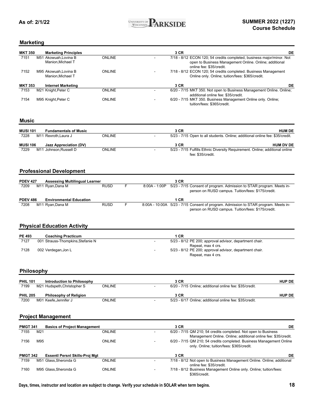

### **Marketing**

| <b>MKT 350</b> | <b>Marketing Principles</b>               |               | 3 CR                                | DE                                                                                                                              |
|----------------|-------------------------------------------|---------------|-------------------------------------|---------------------------------------------------------------------------------------------------------------------------------|
| 7151           | M51 Akowuah, Lovina B<br>Manion.Michael T | <b>ONLINE</b> | online fee: \$35/credit.            | 7/18 - 8/12 ECON 120; 54 credits completed, business major/minor. Not<br>open to Business Management Online. Online; additional |
| 7152           | M95 Akowuah, Lovina B<br>Manion.Michael T | <b>ONLINE</b> |                                     | 7/18 - 8/12 ECON 120; 54 credits completed. Business Management<br>Online only. Online; tuition/fees: \$365/credit.             |
| <b>MKT 353</b> | <b>Internet Marketing</b>                 |               | 3 CR                                | DE                                                                                                                              |
| 7153           | M21 Knight, Peter C                       | <b>ONLINE</b> | additional online fee: \$35/credit. | 6/20 - 7/15 MKT 350. Not open to Business Management Online. Online;                                                            |
| 7154           | M95 Knight, Peter C                       | <b>ONLINE</b> | tuition/fees: \$365/credit.         | 6/20 - 7/15 MKT 350. Business Management Online only. Online;                                                                   |

#### **Music**

| <b>MUSI 101</b> | <b>Fundamentals of Music</b> |               | 3 CR              | <b>HUM DE</b>                                                                 |
|-----------------|------------------------------|---------------|-------------------|-------------------------------------------------------------------------------|
| 7228            | M11 Rexroth,Laura J          | <b>ONLINE</b> |                   | 5/23 - 7/15 Open to all students. Online: additional online fee: \$35/credit. |
| <b>MUSI 106</b> | Jazz Appreciation (DV)       |               | 3 CR              | <b>HUM DV DE</b>                                                              |
| 7229            | M11 Johnson.Russell D        | <b>ONLINE</b> |                   | 5/23 - 7/15 Fulfills Ethnic Diversity Requirement. Online; additional online  |
|                 |                              |               | fee: \$35/credit. |                                                                               |

### **Professional Development**

| <b>PDEV 427</b> |  | <b>Assessing Multilingual Learner</b> |             |   | 3 CR                                                                                |
|-----------------|--|---------------------------------------|-------------|---|-------------------------------------------------------------------------------------|
| 7209            |  | M11 Ryan,Dana M                       | <b>RUSD</b> |   | 8:00A - 1:00P 5/23 - 7/15 Consent of program. Admission to STAR program. Meets in-  |
|                 |  |                                       |             |   | person on RUSD campus. Tuition/fees: \$175/credit.                                  |
|                 |  |                                       |             |   |                                                                                     |
|                 |  |                                       |             |   |                                                                                     |
| <b>PDEV 486</b> |  | <b>Environmental Education</b>        |             |   | 1 CR                                                                                |
| 7208            |  | M11 Rvan.Dana M                       | <b>RUSD</b> | F | 8:00A - 10:00A 5/23 - 7/15 Consent of program. Admission to STAR program. Meets in- |

### **Physical Education Activity**

| <b>PE 493</b> | <b>Coaching Practicum</b>         | I CR                                                    |
|---------------|-----------------------------------|---------------------------------------------------------|
| 7127          | 001 Strauss-Thompkins, Stefanie N | 5/23 - 8/12 PE 200; approval advisor, department chair. |
|               |                                   | Repeat, max 4 crs.                                      |
| 7128          | 002 Verdegan,Jon L                | 5/23 - 8/12 PE 200; approval advisor, department chair. |
|               |                                   | Repeat, max 4 crs.                                      |

#### **Philosophy**

| <b>PHIL 101</b> | Introduction to Philosophy    |               | 3 CR                                                    | <b>HUP DE</b> |
|-----------------|-------------------------------|---------------|---------------------------------------------------------|---------------|
| 7199            | M21 Hudspeth,Christopher S    | <b>ONLINE</b> | 6/20 - 7/15 Online; additional online fee: \$35/credit. |               |
| <b>PHIL 205</b> | <b>Philosophy of Religion</b> |               | 3 CR                                                    | <b>HUP DE</b> |
| 7200            | M01 Keefe.Jennifer J          | ONLINE        | 5/23 - 6/17 Online: additional online fee: \$35/credit. |               |

#### **Project Management**

| <b>PMGT 341</b> |                 | <b>Basics of Project Management</b> |               | 3 CR                                                                   | DE |
|-----------------|-----------------|-------------------------------------|---------------|------------------------------------------------------------------------|----|
| 7155            | M <sub>21</sub> |                                     | <b>ONLINE</b> | 6/20 - 7/15 QM 210; 54 credits completed. Not open to Business         |    |
|                 |                 |                                     |               | Management Online. Online; additional online fee: \$35/credit.         |    |
| 7156            | M95             |                                     | <b>ONLINE</b> | 6/20 - 7/15 QM 210; 54 credits completed. Business Management Online   |    |
|                 |                 |                                     |               | only. Online; tuition/fees: \$365/credit.                              |    |
|                 |                 |                                     |               |                                                                        |    |
| <b>PMGT 342</b> |                 | Essenti Persni Skills-Proj Mgt      |               | 3 CR                                                                   | DE |
| 7159            |                 | M51 Glass.Sheronda G                | <b>ONLINE</b> | 7/18 - 8/12 Not open to Business Management Online. Online: additional |    |
|                 |                 |                                     |               | online fee: \$35/credit.                                               |    |
| 7160            |                 | M95 Glass.Sheronda G                | <b>ONLINE</b> | 7/18 - 8/12 Business Management Online only. Online; tuition/fees:     |    |
|                 |                 |                                     |               | \$365/credit.                                                          |    |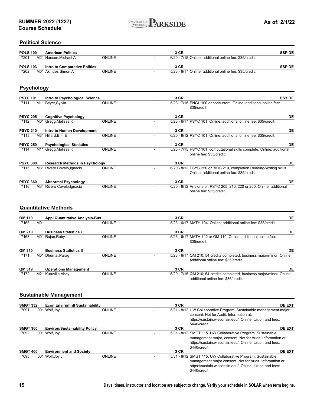

#### **Political Science**

| <b>POLS 100</b> | <b>American Politics</b>      |               | 3 CR                                                    | <b>SSP DE</b> |
|-----------------|-------------------------------|---------------|---------------------------------------------------------|---------------|
| 7201            | M21 Hansen.Michael A          | <b>ONLINE</b> | 6/20 - 7/15 Online; additional online fee: \$35/credit. |               |
| <b>POLS 103</b> | Intro to Comparative Politics |               | 3 CR                                                    | <b>SSP DE</b> |
| 7202            | M01 Akindes.Simon A           | ONLINE        | 5/23 - 6/17 Online; additional online fee: \$35/credit. |               |

### **Psychology**

| <b>PSYC 101</b> |     | Intro to Psychological Science        |               | 3 CR                                                                                                                | <b>SSY DE</b> |
|-----------------|-----|---------------------------------------|---------------|---------------------------------------------------------------------------------------------------------------------|---------------|
| 7111            |     | M11 Beyer, Sylvia                     | <b>ONLINE</b> | 5/23 - 7/15 ENGL 100 or concurrent. Online: additional online fee:<br>\$35/credit.                                  |               |
| <b>PSYC 205</b> |     | <b>Cognitive Psychology</b>           |               | 3 CR                                                                                                                | DE            |
| 7112            |     | M01 Gregg, Melissa K                  | <b>ONLINE</b> | 5/23 - 6/17 PSYC 101. Online; additional online fee: \$35/credit.                                                   |               |
| <b>PSYC 210</b> |     | Intro to Human Development            |               | 3 CR                                                                                                                | DE            |
| 7113            |     | M31 Hillard, Erin E                   | <b>ONLINE</b> | 6/20 - 8/12 PSYC 101. Online; additional online fee: \$35/credit.                                                   |               |
| <b>PSYC 250</b> |     | <b>Psychological Statistics</b>       |               | 3 CR                                                                                                                | DE            |
| 7114            |     | M11 Gregg, Melissa K                  | <b>ONLINE</b> | 5/23 - 7/15 PSYC 101, computational skills complete. Online; additional<br>online fee: \$35/credit.                 |               |
| <b>PSYC 300</b> |     | <b>Research Methods in Psychology</b> |               | 3 CR                                                                                                                | DE            |
| 7115            |     | M31 Rivero Covelo, Ignacio            | <b>ONLINE</b> | 6/20 - 8/12 PSYC 250 or BIOS 210, completion Reading/Writing skills.<br>Online; additional online fee: \$35/credit. |               |
| <b>PSYC 360</b> |     | <b>Abnormal Psychology</b>            |               | 3 CR                                                                                                                | DE            |
| 7116            | M31 | Rivero Covelo, Ignacio                | <b>ONLINE</b> | 6/20 - 8/12 Any one of: PSYC 205, 210, 220 or 260. Online; additional<br>online fee: \$35/credit.                   |               |

### **Quantitative Methods**

| QM 110 | <b>Appl Quantitative Analysis-Bus</b> |               | 3 CR                                                                                                           | DE |
|--------|---------------------------------------|---------------|----------------------------------------------------------------------------------------------------------------|----|
| 7165   | M01                                   | <b>ONLINE</b> | 5/23 - 6/17 MATH 104. Online; additional online fee: \$35/credit.                                              |    |
| QM 210 | <b>Business Statistics I</b>          |               | 3 CR                                                                                                           | DE |
| 7168   | M01 Rajan, Roby                       | <b>ONLINE</b> | 5/23 - 6/17 MATH 112 or QM 110. Online: additional online fee:<br>\$35/credit.                                 |    |
| QM 310 | <b>Business Statistics II</b>         |               | 3 CR                                                                                                           | DE |
| 7171   | M01 Dhumal, Parag                     | <b>ONLINE</b> | 5/23 - 6/17 QM 210; 54 credits completed, business major/minor. Online;<br>additional online fee: \$35/credit. |    |
| QM 319 | <b>Operations Management</b>          |               | 3 CR                                                                                                           | DE |
| 7172   | M21 Kuruvilla, Abey                   | <b>ONLINE</b> | 6/20 - 7/15 QM 210; 54 credits completed, business major/minor. Online;<br>additional online fee: \$35/credit. |    |

### **Sustainable Management**

| <b>SMGT 332</b> | <b>Econ Envirnmntl Sustainability</b> |               | 3 CR                                                                | <b>DE EXT</b>                                             |
|-----------------|---------------------------------------|---------------|---------------------------------------------------------------------|-----------------------------------------------------------|
| 7091            | 001 Wolf, Joy J                       | <b>ONLINE</b> | 5/31 - 8/12 UW Collaborative Program. Sustainable management major, |                                                           |
|                 |                                       |               | consent. Not for Audit. Information at:                             |                                                           |
|                 |                                       |               |                                                                     | https://sustain.wisconsin.edu/. Online; tuition and fees: |
|                 |                                       |               | \$440/credit.                                                       |                                                           |
| <b>SMGT 360</b> | <b>Environ/Sustainability Policy</b>  |               | 3 CR                                                                | <b>DE EXT</b>                                             |
| 7092            | 001 Wolf, Joy J                       | <b>ONLINE</b> | 5/31 - 8/12 SMGT 115. UW Collaborative Program. Sustainable         |                                                           |
|                 |                                       |               |                                                                     | management major, consent. Not for Audit. Information at: |
|                 |                                       |               |                                                                     | https://sustain.wisconsin.edu/. Online; tuition and fees: |
|                 |                                       |               | \$440/credit.                                                       |                                                           |
| <b>SMGT 460</b> | <b>Environment and Society</b>        |               | 3 CR                                                                | <b>DE EXT</b>                                             |
| 7093            | 001 Wolf, Joy J                       | <b>ONLINE</b> | 5/31 - 8/12 SMGT 115. UW Collaborative Program. Sustainable         |                                                           |
|                 |                                       |               |                                                                     | management major consent. Not for Audit. Information at:  |
|                 |                                       |               |                                                                     | https://sustain.wisconsin.edu/. Online; tuition and fees: |
|                 |                                       |               | \$440/credit.                                                       |                                                           |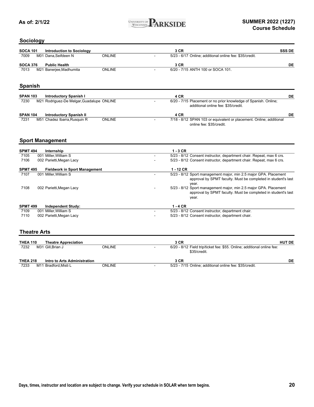

### **Sociology**

| <b>SOCA 101</b> | Introduction to Sociology |               | 3 CR                                                    | <b>SSS DE</b> |
|-----------------|---------------------------|---------------|---------------------------------------------------------|---------------|
| 7009            | M01 Dana, Seifdeen N      | <b>ONLINE</b> | 5/23 - 6/17 Online; additional online fee: \$35/credit. |               |
| <b>SOCA 376</b> | <b>Public Health</b>      |               | 3 CR                                                    | DE            |
| 7013            | M21 Banerjee, Madhumita   | <b>ONLINE</b> | 6/20 - 7/15 ANTH 100 or SOCA 101.                       |               |
|                 |                           |               |                                                         |               |
| <b>Spanish</b>  |                           |               |                                                         |               |

| <b>SPAN 103</b> | <b>Introductory Spanish I</b>             | 4 CR                                                                                                   | DE |
|-----------------|-------------------------------------------|--------------------------------------------------------------------------------------------------------|----|
| 7230            | M21 Rodriguez-De Melgar, Guadalupe ONLINE | 6/20 - 7/15 Placement or no prior knowledge of Spanish. Online;<br>additional online fee: \$35/credit. |    |
|                 |                                           |                                                                                                        |    |
| <b>SPAN 104</b> | <b>Introductory Spanish II</b>            | 4 CR                                                                                                   | DE |

### **Sport Management**

| <b>SPMT 494</b> | Internship                           | $1 - 3$ CR                                                           |
|-----------------|--------------------------------------|----------------------------------------------------------------------|
| 7105            | 001 Miller. William S                | 5/23 - 8/12 Consent instructor, department chair. Repeat, max 6 crs. |
| 7106            | 002 Parietti, Megan Lacy             | 5/23 - 8/12 Consent instructor, department chair. Repeat, max 6 crs. |
| <b>SPMT 495</b> | <b>Fieldwork in Sport Management</b> | $1 - 12$ CR                                                          |
| 7107            | 001 Miller. William S                | 5/23 - 8/12 Sport management major, min 2.5 major GPA. Placement     |
|                 |                                      | approval by SPMT faculty. Must be completed in student's last        |
|                 |                                      | vear.                                                                |
| 7108            | 002 Parietti, Megan Lacy             | 5/23 - 8/12 Sport management major, min 2.5 major GPA. Placement     |
|                 |                                      | approval by SPMT faculty. Must be completed in student's last        |
|                 |                                      | vear.                                                                |
| <b>SPMT 499</b> | <b>Independent Study:</b>            | $1 - 4$ CR                                                           |
| 7109            | 001 Miller. William S                | 5/23 - 8/12 Consent instructor, department chair.                    |
| 7110            | 002 Parietti.Megan Lacy              | 5/23 - 8/12 Consent instructor, department chair.                    |

### **Theatre Arts**

| <b>THEA 110</b> |     | <b>Theatre Appreciation</b>  |               | 3 CR                                                                                    | <b>HUT DE</b> |
|-----------------|-----|------------------------------|---------------|-----------------------------------------------------------------------------------------|---------------|
| 7232            |     | M31 Gill.Brian J             | <b>ONLINE</b> | 6/20 - 8/12 Field trip/ticket fee: \$55. Online; additional online fee:<br>\$35/credit. |               |
| <b>THEA 218</b> |     | Intro to Arts Administration |               | 3 CR                                                                                    | DE            |
| 7233            | M11 | 1 Bradford, Misti L          | <b>ONLINE</b> | 5/23 - 7/15 Online: additional online fee: \$35/credit.                                 |               |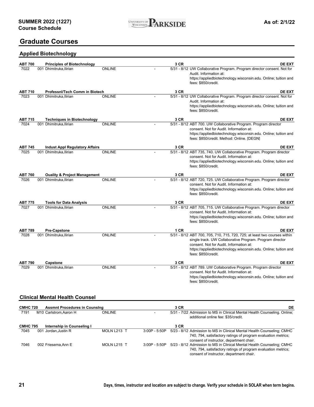

### **Graduate Courses**

### **Applied Biotechnology**

| <b>ABT 700</b>  | <b>Principles of Biotechnology</b>                           |               |                 | 3 CR | <b>DE EXT</b>                                                                                              |
|-----------------|--------------------------------------------------------------|---------------|-----------------|------|------------------------------------------------------------------------------------------------------------|
| 7022            | 001 Dhimitruka, Ilirian                                      | <b>ONLINE</b> |                 |      | 5/31 - 8/12 UW Collaborative Program. Program director consent. Not for                                    |
|                 |                                                              |               |                 |      | Audit. Information at:                                                                                     |
|                 |                                                              |               |                 |      | https://appliedbiotechnology.wisconsin.edu. Online; tuition and                                            |
|                 |                                                              |               |                 |      | fees: \$850/credit.                                                                                        |
| <b>ABT 710</b>  | Professni/Tech Comm in Biotech                               |               |                 | 3 CR | <b>DE EXT</b>                                                                                              |
| 7023            | 001 Dhimitruka, Ilirian                                      | <b>ONLINE</b> |                 |      | 5/31 - 8/12 UW Collaborative Program. Program director consent. Not for                                    |
|                 |                                                              |               |                 |      | Audit. Information at:                                                                                     |
|                 |                                                              |               |                 |      | https://appliedbiotechnology.wisconsin.edu. Online; tuition and<br>fees: \$850/credit.                     |
| <b>ABT 715</b>  |                                                              |               |                 | 3 CR | <b>DE EXT</b>                                                                                              |
| 7024            | <b>Techniques in Biotechnology</b><br>001 Dhimitruka.Ilirian | <b>ONLINE</b> |                 |      | 5/31 - 8/12 ABT 700. UW Collaborative Program. Program director                                            |
|                 |                                                              |               |                 |      | consent. Not for Audit. Information at:                                                                    |
|                 |                                                              |               |                 |      | https://appliedbiotechnology.wisconsin.edu. Online; tuition and                                            |
|                 |                                                              |               |                 |      | fees: \$850/credit. Method: Online. [DEGN]                                                                 |
| <b>ABT 745</b>  | <b>Indust Appl Regulatory Affairs</b>                        |               |                 | 3 CR | <b>DE EXT</b>                                                                                              |
| 7025            | 001 Dhimitruka, Ilirian                                      | <b>ONLINE</b> |                 |      | 5/31 - 8/12 ABT 735, 740. UW Collaborative Program. Program director                                       |
|                 |                                                              |               |                 |      | consent. Not for Audit. Information at:                                                                    |
|                 |                                                              |               |                 |      | https://appliedbiotechnology.wisconsin.edu. Online; tuition and                                            |
|                 |                                                              |               |                 |      | fees: \$850/credit.                                                                                        |
| <b>ABT 760</b>  | <b>Ouality &amp; Project Management</b>                      |               |                 | 3 CR | <b>DE EXT</b>                                                                                              |
| 7026            | 001 Dhimitruka, Ilirian                                      | <b>ONLINE</b> |                 |      | 5/31 - 8/12 ABT 720, 725. UW Collaborative Program. Program director                                       |
|                 |                                                              |               |                 |      | consent. Not for Audit. Information at:                                                                    |
|                 |                                                              |               |                 |      | https://appliedbiotechnology.wisconsin.edu. Online; tuition and                                            |
|                 |                                                              |               |                 |      | fees: \$850/credit.                                                                                        |
| <b>ABT 775</b>  | <b>Tools for Data Analysis</b>                               |               |                 | 3 CR | <b>DE EXT</b>                                                                                              |
| 7027            | 001 Dhimitruka, Ilirian                                      | <b>ONLINE</b> |                 |      | 5/31 - 8/12 ABT 705, 715. UW Collaborative Program. Program director                                       |
|                 |                                                              |               |                 |      | consent. Not for Audit. Information at:                                                                    |
|                 |                                                              |               |                 |      | https://appliedbiotechnology.wisconsin.edu. Online; tuition and                                            |
|                 |                                                              |               |                 |      | fees: \$850/credit.                                                                                        |
| <b>ABT 789</b>  | <b>Pre-Capstone</b>                                          |               |                 | 1 CR | <b>DE EXT</b>                                                                                              |
| 7028            | 001 Dhimitruka, Ilirian                                      | <b>ONLINE</b> |                 |      | 5/31 - 8/12 ABT 700, 705, 710, 715, 720, 725; at least two courses within                                  |
|                 |                                                              |               |                 |      | single track. UW Collaborative Program. Program director                                                   |
|                 |                                                              |               |                 |      | consent. Not for Audit. Information at:<br>https://appliedbiotechnology.wisconsin.edu. Online; tuition and |
|                 |                                                              |               |                 |      | fees: \$850/credit.                                                                                        |
|                 |                                                              |               |                 |      |                                                                                                            |
| <b>ABT 790</b>  | Capstone                                                     |               |                 | 3 CR | <b>DE EXT</b>                                                                                              |
| 7029            | 001 Dhimitruka, Ilirian                                      | <b>ONLINE</b> |                 |      | 5/31 - 8/12 ABT 789. UW Collaborative Program. Program director<br>consent. Not for Audit. Information at: |
|                 |                                                              |               |                 |      | https://appliedbiotechnology.wisconsin.edu. Online; tuition and                                            |
|                 |                                                              |               |                 |      | fees: \$850/credit.                                                                                        |
|                 |                                                              |               |                 |      |                                                                                                            |
|                 |                                                              |               |                 |      |                                                                                                            |
|                 | <b>Clinical Mental Health Counsel</b>                        |               |                 |      |                                                                                                            |
| <b>CMHC 720</b> | <b>Assmnt Procedures in Counsing</b>                         |               |                 | 3 CR | DE                                                                                                         |
| 7191            | M10 Carlstrom, Aaron H                                       | <b>ONLINE</b> |                 |      | 5/31 - 7/22 Admission to MS in Clinical Mental Health Counseling. Online;                                  |
|                 |                                                              |               |                 |      | additional online fee: \$35/credit.                                                                        |
|                 |                                                              |               |                 |      |                                                                                                            |
| <b>CMHC 795</b> | Internship in Counseling I                                   |               |                 | 3 CR |                                                                                                            |
| 7045            | 001 Jordan, Justin R                                         | MOLN L213 T   | 3:00P - 5:50P   |      | 5/23 - 8/12 Admission to MS in Clinical Mental Health Counseling; CMHC                                     |
|                 |                                                              |               |                 |      | 740, 794, satisfactory ratings of program evaluation metrics;<br>consent of instructor, department chair.  |
| 7046            | 002 Friesema, Ann E                                          | MOLN L215 T   | $3:00P - 5:50P$ |      | 5/23 - 8/12 Admission to MS in Clinical Mental Health Counseling; CMHC                                     |
|                 |                                                              |               |                 |      | 740, 794, satisfactory ratings of program evaluation metrics;                                              |
|                 |                                                              |               |                 |      | consent of instructor, department chair.                                                                   |
|                 |                                                              |               |                 |      |                                                                                                            |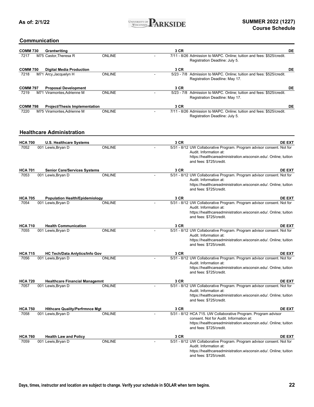

### **Communication**

| <b>COMM 730</b> | Grantwriting                          |               | 3 CR | DE                                                                                                                                                                                                       |
|-----------------|---------------------------------------|---------------|------|----------------------------------------------------------------------------------------------------------------------------------------------------------------------------------------------------------|
| 7217            | M75 Castor, Theresa R                 | <b>ONLINE</b> |      | 7/11 - 8/26 Admission to MAPC. Online; tuition and fees: \$525/credit.<br>Registration Deadline: July 5.                                                                                                 |
| <b>COMM 750</b> | <b>Digital Media Production</b>       |               | 3 CR | DE                                                                                                                                                                                                       |
| 7218            | M71 Arcy, Jacquelyn H                 | <b>ONLINE</b> |      | 5/23 - 7/8 Admission to MAPC. Online; tuition and fees: \$525/credit.<br>Registration Deadline: May 17.                                                                                                  |
| <b>COMM 797</b> | <b>Proposal Development</b>           |               | 3 CR | DE                                                                                                                                                                                                       |
| 7219            | M71 Viramontes, Adrienne M            | <b>ONLINE</b> |      | 5/23 - 7/8 Admission to MAPC. Online; tuition and fees: \$525/credit.<br>Registration Deadline: May 17.                                                                                                  |
| <b>COMM 798</b> | <b>Project/Thesis Implementation</b>  |               | 3 CR | DE                                                                                                                                                                                                       |
| 7220            | M75 Viramontes, Adrienne M            | <b>ONLINE</b> |      | 7/11 - 8/26 Admission to MAPC. Online; tuition and fees: \$525/credit.<br>Registration Deadline: July 5.                                                                                                 |
|                 | <b>Healthcare Administration</b>      |               |      |                                                                                                                                                                                                          |
| <b>HCA 700</b>  | <b>U.S. Healthcare Systems</b>        |               | 3 CR | DE EXT                                                                                                                                                                                                   |
| 7052            | 001 Lewis, Bryan D                    | <b>ONLINE</b> |      | 5/31 - 8/12 UW Collaborative Program. Program advisor consent. Not for<br>Audit. Information at:<br>https://healthcareadministration.wisconsin.edu/. Online; tuition<br>and fees: \$725/credit.          |
| <b>HCA 701</b>  | <b>Senior Care/Services Systems</b>   |               | 3 CR | DE EXT                                                                                                                                                                                                   |
| 7053            | 001 Lewis, Bryan D                    | <b>ONLINE</b> |      | 5/31 - 8/12 UW Collaborative Program. Program advisor consent. Not for<br>Audit. Information at:<br>https://healthcareadministration.wisconsin.edu/. Online; tuition<br>and fees: \$725/credit.          |
| <b>HCA 705</b>  | <b>Population Health/Epidemiology</b> |               | 3 CR | DE EXT                                                                                                                                                                                                   |
| 7054            | 001 Lewis, Bryan D                    | <b>ONLINE</b> |      | 5/31 - 8/12 UW Collaborative Program. Program advisor consent. Not for<br>Audit. Information at:<br>https://healthcareadministration.wisconsin.edu/. Online; tuition<br>and fees: \$725/credit.          |
| <b>HCA 710</b>  | <b>Health Communication</b>           |               | 3 CR | DE EXT                                                                                                                                                                                                   |
| 7055            | 001 Lewis, Bryan D                    | <b>ONLINE</b> |      | 5/31 - 8/12 UW Collaborative Program. Program advisor consent. Not for<br>Audit. Information at:<br>https://healthcareadministration.wisconsin.edu/. Online; tuition<br>and fees: \$725/credit.          |
| <b>HCA 715</b>  | <b>HC Tech/Data Anlytics/Info Gov</b> |               | 3 CR | DE EXT                                                                                                                                                                                                   |
| 7056            | 001 Lewis, Bryan D                    | <b>ONLINE</b> |      | 5/31 - 8/12 UW Collaborative Program. Program advisor consent. Not for<br>Audit. Information at:<br>https://healthcareadministration.wisconsin.edu/. Online; tuition<br>and fees: \$725/credit.          |
| <b>HCA 720</b>  | <b>Healthcare Financial Managemnt</b> |               | 3 CR | <b>DE EXT</b>                                                                                                                                                                                            |
| 7057            | 001 Lewis, Bryan D                    | <b>ONLINE</b> |      | 5/31 - 8/12 UW Collaborative Program. Program advisor consent. Not for<br>Audit. Information at:<br>https://healthcareadministration.wisconsin.edu/. Online; tuition<br>and fees: \$725/credit.          |
| <b>HCA 750</b>  | <b>Hithcare Quality/Perfrmnce Mgt</b> |               | 3 CR | <b>DE EXT</b>                                                                                                                                                                                            |
| 7058            | 001 Lewis, Bryan D                    | <b>ONLINE</b> |      | 5/31 - 8/12 HCA 715. UW Collaborative Program. Program advisor<br>consent. Not for Audit. Information at:<br>https://healthcareadministration.wisconsin.edu/. Online; tuition<br>and fees: \$725/credit. |
| <b>HCA 760</b>  | <b>Health Law and Policy</b>          |               | 3 CR | DE EXT                                                                                                                                                                                                   |
| 7059            | 001 Lewis, Bryan D                    | <b>ONLINE</b> |      | 5/31 - 8/12 UW Collaborative Program. Program advisor consent. Not for<br>Audit. Information at:<br>https://healthcareadministration.wisconsin.edu/. Online; tuition<br>and fees: \$725/credit.          |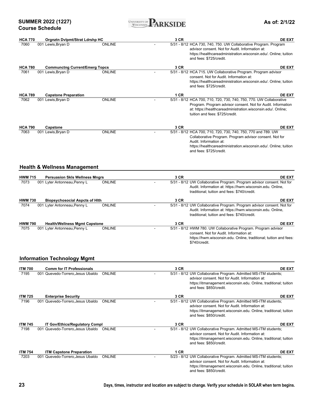**SUMMER 2022 (1227) Course Schedule**



**As of: 2/1/22**

| <b>HCA 770</b> | Orgnztn Dvlpmt/Strat Ldrshp HC           |               | 3 CR | <b>DE EXT</b>                                                                                                                                                                                                                                                      |
|----------------|------------------------------------------|---------------|------|--------------------------------------------------------------------------------------------------------------------------------------------------------------------------------------------------------------------------------------------------------------------|
| 7060           | 001 Lewis, Bryan D                       | <b>ONLINE</b> |      | 5/31 - 8/12 HCA 730, 740, 750. UW Collaborative Program. Program<br>advisor consent. Not for Audit. Information at:<br>https://healthcareadministration.wisconsin.edu/. Online; tuition<br>and fees: \$725/credit.                                                 |
| <b>HCA 780</b> | <b>Communctng Current/Emerg Topcs</b>    |               | 3 CR | <b>DE EXT</b>                                                                                                                                                                                                                                                      |
| 7061           | 001 Lewis, Bryan D                       | <b>ONLINE</b> |      | 5/31 - 8/12 HCA 715. UW Collaborative Program. Program advisor<br>consent. Not for Audit. Information at:<br>https://healthcareadministration.wisconsin.edu/. Online; tuition<br>and fees: \$725/credit.                                                           |
| <b>HCA 789</b> | <b>Capstone Preparation</b>              |               | 1 CR | <b>DE EXT</b>                                                                                                                                                                                                                                                      |
| 7062           | 001 Lewis, Bryan D                       | <b>ONLINE</b> |      | 5/31 - 8/12 HCA 700, 710, 720, 730, 740, 750, 770. UW Collaborative<br>Program. Program advisor consent. Not for Audit. Information<br>at: https://healthcareadministration.wisconsin.edu/. Online;<br>tuition and fees: \$725/credit.                             |
| <b>HCA 790</b> |                                          |               | 3 CR |                                                                                                                                                                                                                                                                    |
| 7063           | Capstone<br>001 Lewis, Bryan D           | <b>ONLINE</b> |      | <b>DE EXT</b><br>5/31 - 8/12 HCA 700, 710, 720, 730, 740, 750, 770 and 789. UW<br>Collaborative Program. Program advisor consent. Not for<br>Audit. Information at:<br>https://healthcareadministration.wisconsin.edu/. Online; tuition<br>and fees: \$725/credit. |
|                | <b>Health &amp; Wellness Management</b>  |               |      |                                                                                                                                                                                                                                                                    |
| <b>HWM 715</b> | <b>Persuasion Skls Wellness Mngrs</b>    |               | 3 CR | <b>DE EXT</b>                                                                                                                                                                                                                                                      |
| 7073           | 001 Lyter Antonneau, Penny L             | <b>ONLINE</b> |      | 5/31 - 8/12 UW Collaborative Program. Program advisor consent. Not for<br>Audit. Information at: https://hwm.wisconsin.edu. Online,<br>traditional; tuition and fees: \$740/credit.                                                                                |
| <b>HWM 730</b> | <b>Biopsychosocial Aspcts of Hith</b>    |               | 3 CR | <b>DE EXT</b>                                                                                                                                                                                                                                                      |
| 7074           | 001 Lyter Antonneau, Penny L             | <b>ONLINE</b> |      | 5/31 - 8/12 UW Collaborative Program. Program advisor consent. Not for<br>Audit. Information at: https://hwm.wisconsin.edu. Online,<br>traditional; tuition and fees: \$740/credit.                                                                                |
| <b>HWM 790</b> | <b>Health/Wellness Mgmt Capstone</b>     |               | 3 CR | <b>DE EXT</b>                                                                                                                                                                                                                                                      |
| 7075           | 001 Lyter Antonneau, Penny L             | <b>ONLINE</b> |      | 5/31 - 8/12 HWM 780. UW Collaborative Program. Program advisor<br>consent. Not for Audit. Information at:<br>https://hwm.wisconsin.edu. Online, traditional; tuition and fees:<br>\$740/credit.                                                                    |
|                | <b>Information Technology Mgmt</b>       |               |      |                                                                                                                                                                                                                                                                    |
| <b>ITM 700</b> | <b>Comm for IT Professionals</b>         |               | 3 CR | <b>DE EXT</b>                                                                                                                                                                                                                                                      |
| 7195           | 001 Quevedo-Torrero, Jesus Ubaldo        | ONLINE        |      | 5/31 - 8/12 UW Collaborative Program. Admitted MS-ITM students;<br>advisor consent. Not for Audit. Information at:<br>https://itmanagement.wisconsin.edu. Online, traditional; tuition<br>and fees: \$850/credit.                                                  |
| <b>ITM 725</b> | <b>Enterprise Security</b>               |               | 3 CR | DE EXT                                                                                                                                                                                                                                                             |
| 7196           | 001 Quevedo-Torrero, Jesus Ubaldo        | <b>ONLINE</b> |      | 5/31 - 8/12 UW Collaborative Program. Admitted MS-ITM students;<br>advisor consent. Not for Audit. Information at:<br>https://itmanagement.wisconsin.edu. Online, traditional; tuition<br>and fees: \$850/credit.                                                  |
| <b>ITM 745</b> | IT Gov/Ethics/Regulatory Compl           |               | 3 CR | <b>DE EXT</b>                                                                                                                                                                                                                                                      |
| 7198           | 001 Quevedo-Torrero, Jesus Ubaldo ONLINE |               |      | 5/31 - 8/12 UW Collaborative Program. Admitted MS-ITM students;<br>advisor consent. Not for Audit. Information at:<br>https://itmanagement.wisconsin.edu. Online, traditional; tuition<br>and fees: \$850/credit.                                                  |
| <b>ITM 754</b> | <b>ITM Capstone Preparation</b>          |               | 1 CR | <b>DE EXT</b>                                                                                                                                                                                                                                                      |
| 7203           | 001 Quevedo-Torrero, Jesus Ubaldo        | <b>ONLINE</b> |      | 5/23 - 8/12 UW Collaborative Program. Admitted MS-ITM students;<br>advisor consent. Not for Audit. Information at:<br>https://itmanagement.wisconsin.edu. Online, traditional; tuition<br>and fees: \$850/credit.                                                  |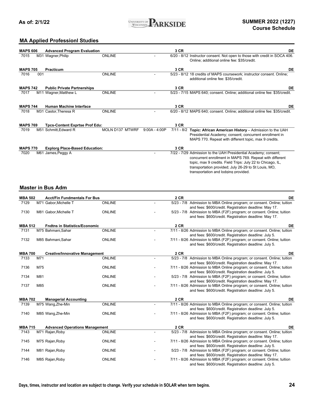

### **MA Applied Professionl Studies**

| <b>MAPS 606</b> | <b>Advanced Program Evaluation</b>    |                        |                 | 3 CR | DE                                                                                                                                                                                                                                                                                        |
|-----------------|---------------------------------------|------------------------|-----------------|------|-------------------------------------------------------------------------------------------------------------------------------------------------------------------------------------------------------------------------------------------------------------------------------------------|
| 7015            | M31 Wagner, Philip                    | <b>ONLINE</b>          |                 |      | 6/20 - 8/12 Instructor consent. Not open to those with credit in SOCA 406.<br>Online; additional online fee: \$35/credit.                                                                                                                                                                 |
| <b>MAPS 705</b> | <b>Practicum</b>                      |                        |                 | 3 CR | DE                                                                                                                                                                                                                                                                                        |
| 001<br>7016     |                                       | <b>ONLINE</b>          |                 |      | 5/23 - 8/12 18 credits of MAPS coursework; instructor consent. Online;<br>additional online fee: \$35/credit.                                                                                                                                                                             |
| <b>MAPS 742</b> | <b>Public Private Partnerships</b>    |                        |                 | 3 CR | DE                                                                                                                                                                                                                                                                                        |
| 7017            | M11 Wagner, Matthew L                 | ONLINE                 |                 |      | 5/23 - 7/15 MAPS 640; consent. Online; additional online fee: \$35/credit.                                                                                                                                                                                                                |
| <b>MAPS 744</b> | <b>Human Machine Interface</b>        |                        |                 | 3 CR | DE                                                                                                                                                                                                                                                                                        |
| 7018            | M31 Castor, Theresa R                 | <b>ONLINE</b>          |                 |      | 6/20 - 8/12 MAPS 640; consent. Online; additional online fee: \$35/credit.                                                                                                                                                                                                                |
| <b>MAPS 769</b> | <b>Tpcs-Content Exprtse Prof Edu:</b> |                        |                 | 3 CR |                                                                                                                                                                                                                                                                                           |
| 7019            | M51 Schmitt, Edward R                 | <b>MOLN D137 MTWRF</b> | $9:00A - 4:00P$ |      | $7/11 - 8/2$ Topic: African American History - Admission to the UAH<br>Presidential Academy; consent; concurrent enrollment in<br>MAPS 770. Repeat with different topic, max 9 credits.                                                                                                   |
| <b>MAPS 770</b> | <b>Explorg Place-Based Education:</b> |                        |                 | 3 CR |                                                                                                                                                                                                                                                                                           |
| 7020<br>M61     | James, Peggy A                        |                        |                 |      | 7/22 - 7/29 Admission to the UAH Presidential Academy; consent;<br>concurrent enrollment in MAPS 769. Repeat with different<br>topic, max 9 credits. Field Trips: July 22 to Chicago, IL,<br>transportation provided; July 26-29 to St Louis, MO,<br>transportation and lodging provided. |

### **Master in Bus Adm**

| <b>MBA 502</b> |     | <b>Acct/Fin Fundmentals For Bus</b>   |               | <b>2 CR</b> | DE                                                                       |
|----------------|-----|---------------------------------------|---------------|-------------|--------------------------------------------------------------------------|
| 7129           |     | M71 Gabor, Michelle T                 | ONLINE        |             | 5/23 - 7/8 Admission to MBA Online program; or consent. Online; tuition  |
|                |     |                                       |               |             | and fees: \$600/credit. Registration deadline: May 17.                   |
| 7130           |     | M81 Gabor, Michelle T                 | <b>ONLINE</b> |             | 5/23 - 7/8 Admission to MBA (F2F) program; or consent. Online; tuition   |
|                |     |                                       |               |             | and fees: \$600/credit. Registration deadline: May 17.                   |
| <b>MBA 512</b> |     | <b>Fndtns in Statistics/Economic</b>  |               | <b>2 CR</b> | DE                                                                       |
| 7131           |     | M75 Bahmani, Sahar                    | ONLINE        |             | 7/11 - 8/26 Admission to MBA Online program; or consent. Online; tuition |
|                |     |                                       |               |             | and fees: \$600/credit. Registration deadline: July 5.                   |
| 7132           |     | M85 Bahmani, Sahar                    | ONLINE        |             | 7/11 - 8/26 Admission to MBA (F2F) program; or consent. Online; tuition  |
|                |     |                                       |               |             | and fees: \$600/credit. Registration deadline: July 5.                   |
| <b>MBA 700</b> |     | <b>Creative/Innovative Management</b> |               | <b>2 CR</b> | DE                                                                       |
| 7133           | M71 |                                       | ONLINE        |             | 5/23 - 7/8 Admission to MBA Online program; or consent. Online; tuition  |
|                |     |                                       |               |             | and fees: \$600/credit. Registration deadline: May 17.                   |
| 7136           | M75 |                                       | <b>ONLINE</b> |             | 7/11 - 8/26 Admission to MBA Online program; or consent. Online; tuition |
|                |     |                                       |               |             | and fees: \$600/credit. Registration deadline: July 5.                   |
| 7134           | M81 |                                       | <b>ONLINE</b> |             | 5/23 - 7/8 Admission to MBA (F2F) program; or consent. Online; tuition   |
|                |     |                                       |               |             | and fees: \$600/credit. Registration deadline: May 17.                   |
| 7137           | M85 |                                       | <b>ONLINE</b> |             | 7/11 - 8/26 Admission to MBA Online program; or consent. Online; tuition |
|                |     |                                       |               |             | and fees: \$600/credit. Registration deadline: July 5.                   |
| <b>MBA 702</b> |     | <b>Managerial Accounting</b>          |               | <b>2 CR</b> | DE                                                                       |
| 7139           |     | M75 Wang, Zhe-Min                     | ONLINE        |             | 7/11 - 8/26 Admission to MBA Online program; or consent. Online; tuition |
|                |     |                                       |               |             | and fees: \$600/credit. Registration deadline: July 5.                   |
| 7140           |     | M85 Wang, Zhe-Min                     | <b>ONLINE</b> |             | 7/11 - 8/26 Admission to MBA (F2F) program; or consent. Online; tuition  |
|                |     |                                       |               |             | and fees: \$600/credit. Registration deadline: July 5.                   |
| <b>MBA 715</b> |     | <b>Advanced Operations Management</b> |               | <b>2 CR</b> | DE                                                                       |
| 7143           |     | M71 Rajan, Roby                       | <b>ONLINE</b> |             | 5/23 - 7/8 Admission to MBA Online program; or consent. Online; tuition  |
|                |     |                                       |               |             | and fees: \$600/credit. Registration deadline: May 17.                   |
| 7145           |     | M75 Rajan, Roby                       | <b>ONLINE</b> |             | 7/11 - 8/26 Admission to MBA Online program; or consent. Online; tuition |
|                |     |                                       |               |             | and fees: \$600/credit. Registration deadline: July 5.                   |
| 7144           |     | M81 Rajan, Roby                       | ONLINE        |             | 5/23 - 7/8 Admission to MBA (F2F) program; or consent. Online; tuition   |
|                |     |                                       |               |             | and fees: \$600/credit. Registration deadline: May 17.                   |
| 7146           |     | M85 Rajan, Roby                       | <b>ONLINE</b> |             | 7/11 - 8/26 Admission to MBA (F2F) program; or consent. Online; tuition  |
|                |     |                                       |               |             | and fees: \$600/credit. Registration deadline: July 5.                   |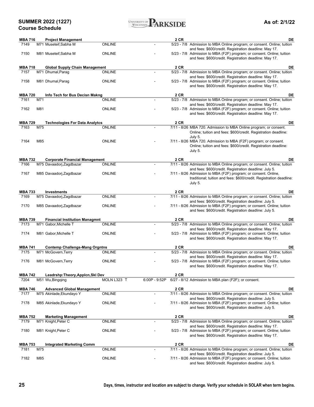**SUMMER 2022 (1227) Course Schedule**

| UNIVERSITY OF $\blacksquare$<br>ARKSIDI<br>WISCONSIN | Г. |
|------------------------------------------------------|----|
|------------------------------------------------------|----|

**As of: 2/1/22**

| <b>MBA 716</b>         |     | <b>Project Management</b>                                         |               |                 | 2 CR | DE                                                                                                                                                                                          |
|------------------------|-----|-------------------------------------------------------------------|---------------|-----------------|------|---------------------------------------------------------------------------------------------------------------------------------------------------------------------------------------------|
| 7149                   |     | M71 Museteif, Sabha M                                             | <b>ONLINE</b> | $\mathbf{r}$    |      | 5/23 - 7/8 Admission to MBA Online program; or consent. Online; tuition                                                                                                                     |
|                        |     |                                                                   |               |                 |      | and fees: \$600/credit. Registration deadline: May 17.                                                                                                                                      |
| 7150                   |     | M81 Museteif, Sabha M                                             | <b>ONLINE</b> |                 |      | 5/23 - 7/8 Admission to MBA (F2F) program; or consent. Online; tuition<br>and fees: \$600/credit. Registration deadline: May 17.                                                            |
| <b>MBA 718</b>         |     | <b>Global Supply Chain Management</b>                             |               |                 | 2 CR | DE                                                                                                                                                                                          |
| 7157                   |     | M71 Dhumal, Parag                                                 | <b>ONLINE</b> | $\blacksquare$  |      | 5/23 - 7/8 Admission to MBA Online program; or consent. Online; tuition                                                                                                                     |
| 7158                   |     | M81 Dhumal, Parag                                                 | <b>ONLINE</b> |                 |      | and fees: \$600/credit. Registration deadline: May 17.<br>5/23 - 7/8 Admission to MBA (F2F) program; or consent. Online; tuition<br>and fees: \$600/credit. Registration deadline: May 17.  |
| <b>MBA 720</b>         |     | Info Tech for Bus Decisn Makng                                    |               |                 | 2 CR | DE                                                                                                                                                                                          |
| 7161                   | M71 |                                                                   | <b>ONLINE</b> |                 |      | 5/23 - 7/8 Admission to MBA Online program; or consent. Online; tuition                                                                                                                     |
|                        |     |                                                                   |               |                 |      | and fees: \$600/credit. Registration deadline: May 17.                                                                                                                                      |
| 7162                   | M81 |                                                                   | <b>ONLINE</b> |                 |      | 5/23 - 7/8 Admission to MBA (F2F) program; or consent. Online; tuition<br>and fees: \$600/credit. Registration deadline: May 17.                                                            |
| <b>MBA 729</b>         |     | <b>Technologies For Data Analytcs</b>                             |               |                 | 2 CR | DE                                                                                                                                                                                          |
| 7163                   | M75 |                                                                   | <b>ONLINE</b> | $\mathbf{r}$    |      | 7/11 - 8/26 MBA 720. Admission to MBA Online program; or consent.<br>Online; tuition and fees: \$600/credit. Registration deadline:<br>July 5.                                              |
| 7164                   | M85 |                                                                   | <b>ONLINE</b> |                 |      | 7/11 - 8/26 MBA 720. Admission to MBA (F2F) program; or consent.<br>Online; tuition and fees: \$600/credit. Registration deadline:<br>July 5.                                               |
|                        |     |                                                                   |               |                 |      |                                                                                                                                                                                             |
| <b>MBA 732</b><br>7166 |     | <b>Corporate Financial Management</b><br>M75 Davaadorj, Zagdbazar | <b>ONLINE</b> |                 | 2 CR | DE<br>7/11 - 8/26 Admission to MBA Online program; or consent. Online; tuition                                                                                                              |
|                        |     |                                                                   |               |                 |      | and fees: \$600/credit. Registration deadline: July 5.                                                                                                                                      |
| 7167                   |     | M85 Davaadorj, Zagdbazar                                          | <b>ONLINE</b> |                 |      | 7/11 - 8/26 Admission to MBA (F2F) program; or consent. Online,<br>traditional; tuition and fees: \$600/credit. Registration deadline:<br>July 5.                                           |
| <b>MBA 733</b>         |     | Investments                                                       |               |                 | 2 CR | DE                                                                                                                                                                                          |
| 7169                   |     | M75 Davaadorj, Zagdbazar                                          | <b>ONLINE</b> |                 |      | 7/11 - 8/26 Admission to MBA Online program; or consent. Online; tuition                                                                                                                    |
| 7170                   |     | M85 Davaadorj, Zagdbazar                                          | <b>ONLINE</b> |                 |      | and fees: \$600/credit. Registration deadline: July 5.<br>7/11 - 8/26 Admission to MBA (F2F) program; or consent. Online; tuition<br>and fees: \$600/credit. Registration deadline: July 5. |
| <b>MBA 739</b>         |     | <b>Financial Institution Managmnt</b>                             |               |                 | 2 CR | DE                                                                                                                                                                                          |
| 7173                   |     | M71 Gabor, Michelle T                                             | <b>ONLINE</b> |                 |      | 5/23 - 7/8 Admission to MBA Online program; or consent. Online; tuition                                                                                                                     |
| 7174                   |     | M81 Gabor, Michelle T                                             | <b>ONLINE</b> |                 |      | and fees: \$600/credit. Registration deadline: May 17.<br>5/23 - 7/8 Admission to MBA (F2F) program; or consent. Online; tuition<br>and fees: \$600/credit. Registration deadline: May 17.  |
| <b>MBA 741</b>         |     | <b>Contemp Challengs-Mang Orgntns</b>                             |               |                 | 2 CR | DE                                                                                                                                                                                          |
| 7175                   |     | M71 McGovern, Terry                                               | <b>ONLINE</b> |                 |      | 5/23 - 7/8 Admission to MBA Online program; or consent. Online; tuition                                                                                                                     |
| 7176                   |     | M81 McGovern, Terry                                               | <b>ONLINE</b> |                 |      | and fees: \$600/credit. Registration deadline: May 17.<br>5/23 - 7/8 Admission to MBA (F2F) program; or consent. Online; tuition<br>and fees: \$600/credit. Registration deadline: May 17.  |
| MBA 742                |     | Leadrshp:Theory,Applcn,Skl Dev                                    |               |                 | 2 CR |                                                                                                                                                                                             |
| 7204                   |     | M51 Wu, Bingqing                                                  | MOLN L323 T   | $6:00P - 9:52P$ |      | 6/27 - 8/12 Admission to MBA plan (F2F); or consent.                                                                                                                                        |
| <b>MBA 746</b>         |     | <b>Advanced Global Management</b>                                 |               |                 | 2 CR | DE                                                                                                                                                                                          |
| 7177                   |     | M75 Akinlade, Ekundayo Y                                          | ONLINE        |                 |      | 7/11 - 8/26 Admission to MBA Online program; or consent. Online; tuition                                                                                                                    |
| 7178                   |     | M85 Akinlade, Ekundayo Y                                          | <b>ONLINE</b> |                 |      | and fees: \$600/credit. Registration deadline: July 5.<br>7/11 - 8/26 Admission to MBA (F2F) program; or consent. Online; tuition<br>and fees: \$600/credit. Registration deadline: July 5. |
|                        |     |                                                                   |               |                 |      |                                                                                                                                                                                             |
| <b>MBA 752</b><br>7179 |     | <b>Marketing Management</b><br>M71 Knight, Peter C                | <b>ONLINE</b> | $\blacksquare$  | 2 CR | DE<br>5/23 - 7/8 Admission to MBA Online program; or consent. Online; tuition                                                                                                               |
| 7180                   |     | M81 Knight, Peter C                                               | <b>ONLINE</b> |                 |      | and fees: \$600/credit. Registration deadline: May 17.<br>5/23 - 7/8 Admission to MBA (F2F) program; or consent. Online; tuition<br>and fees: \$600/credit. Registration deadline: May 17.  |
|                        |     |                                                                   |               |                 |      |                                                                                                                                                                                             |
| <b>MBA 753</b><br>7181 | M75 | <b>Integrated Marketing Comm</b>                                  | <b>ONLINE</b> |                 | 2 CR | DE<br>7/11 - 8/26 Admission to MBA Online program; or consent. Online; tuition                                                                                                              |
|                        |     |                                                                   |               |                 |      | and fees: \$600/credit. Registration deadline: July 5.                                                                                                                                      |
| 7182                   | M85 |                                                                   | <b>ONLINE</b> |                 |      | 7/11 - 8/26 Admission to MBA (F2F) program; or consent. Online; tuition<br>and fees: \$600/credit. Registration deadline: July 5.                                                           |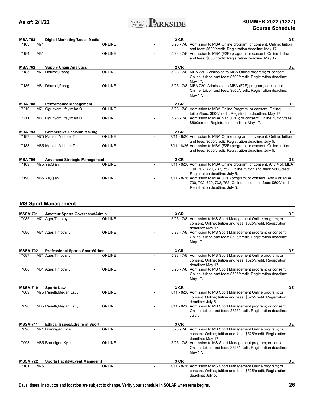

# **Course Schedule**

| <b>MBA 758</b> |     | Digital Marketing/Social Media       |               | 2 CR        | DE                                                                        |
|----------------|-----|--------------------------------------|---------------|-------------|---------------------------------------------------------------------------|
| 7183           | M71 |                                      | <b>ONLINE</b> |             | 5/23 - 7/8 Admission to MBA Online program; or consent. Online; tuition   |
|                |     |                                      |               |             | and fees: \$600/credit. Registration deadline: May 17.                    |
| 7184           | M81 |                                      | <b>ONLINE</b> |             | 5/23 - 7/8 Admission to MBA (F2F) program; or consent. Online; tuition    |
|                |     |                                      |               |             | and fees: \$600/credit. Registration deadline: May 17.                    |
| <b>MBA 762</b> |     | <b>Supply Chain Analytics</b>        |               | <b>2 CR</b> | DE                                                                        |
| 7185           |     | M71 Dhumal, Parag                    | <b>ONLINE</b> |             | 5/23 - 7/8 MBA 720. Admission to MBA Online program; or consent.          |
|                |     |                                      |               |             | Online; tuition and fees: \$600/credit. Registration deadline:            |
|                |     |                                      |               |             | May 17.                                                                   |
| 7186           |     | M81 Dhumal, Parag                    | <b>ONLINE</b> |             | 5/23 - 7/8 MBA 720. Admission to MBA (F2F) program; or consent.           |
|                |     |                                      |               |             | Online; tuition and fees: \$600/credit. Registration deadline:            |
|                |     |                                      |               |             | May 17.                                                                   |
| <b>MBA 788</b> |     | <b>Performance Management</b>        |               | <b>2 CR</b> | DE                                                                        |
| 7210           |     | M71 Ogunyomi, Ifeyimika O            | <b>ONLINE</b> |             | 5/23 - 7/8 Admission to MBA Online Program; or consent. Online;           |
|                |     |                                      |               |             | tuition/fees: \$600/credit. Registration deadline: May 17                 |
| 7211           |     | M81 Ogunyomi, Ifeyimika O            | <b>ONLINE</b> |             | 5/23 - 7/8 Admission to MBA plan (F2F); or consent. Online; tuition/fees: |
|                |     |                                      |               |             | \$600/credit. Registration deadline: May 17.                              |
| <b>MBA 793</b> |     | <b>Competitive Decision Making</b>   |               | <b>2 CR</b> | DE                                                                        |
| 7187           |     | M75 Manion, Michael T                | <b>ONLINE</b> |             | 7/11 - 8/26 Admission to MBA Online program; or consent. Online; tuition  |
|                |     |                                      |               |             | and fees: \$600/credit. Registration deadline: July 5.                    |
| 7188           |     | M85 Manion, Michael T                | <b>ONLINE</b> |             | 7/11 - 8/26 Admission to MBA (F2F) program; or consent. Online; tuition   |
|                |     |                                      |               |             | and fees: \$600/credit. Registration deadline: July 5.                    |
| <b>MBA 796</b> |     | <b>Advanced Strategic Management</b> |               | <b>2 CR</b> | DE                                                                        |
| 7189           |     | M75 Ye, Qian                         | <b>ONLINE</b> |             | 7/11 - 8/26 Admission to MBA Online program; or consent. Any 4 of: MBA    |
|                |     |                                      |               |             | 700, 702, 720, 732, 752. Online; tuition and fees: \$600/credit.          |
|                |     |                                      |               |             | Registration deadline: July 5.                                            |
| 7190           |     | M85 Ye, Qian                         | <b>ONLINE</b> |             |                                                                           |
|                |     |                                      |               |             | 7/11 - 8/26 Admission to MBA (F2F) program; or consent. Any 4 of: MBA     |
|                |     |                                      |               |             | 700, 702, 720, 732, 752. Online; tuition and fees: \$600/credit.          |
|                |     |                                      |               |             | Registration deadline: July 5.                                            |

### **MS Sport Management**

| <b>MSSM 701</b> |     | Amateur Sports Governanc/Admin        |               | 3 CR |                                                                                                                                                       | DE |
|-----------------|-----|---------------------------------------|---------------|------|-------------------------------------------------------------------------------------------------------------------------------------------------------|----|
| 7085            |     | M71 Ager, Timothy J                   | <b>ONLINE</b> |      | 5/23 - 7/8 Admission to MS Sport Management Online program; or<br>consent. Online; tuition and fees: \$525/credit. Registration<br>deadline: May 17.  |    |
| 7086            |     | M81 Ager, Timothy J                   | <b>ONLINE</b> |      | 5/23 - 7/8 Admission to MS Sport Management program; or consent.<br>Online; tuition and fees: \$525/credit. Registration deadline:<br>May 17.         |    |
| <b>MSSM 702</b> |     | <b>Professional Sports Govrn/Admn</b> |               | 3 CR |                                                                                                                                                       | DE |
| 7087            |     | M71 Ager, Timothy J                   | <b>ONLINE</b> |      | 5/23 - 7/8 Admission to MS Sport Management Online program; or<br>consent. Online; tuition and fees: \$525/credit. Registration<br>deadline: May 17.  |    |
| 7088            |     | M81 Ager, Timothy J                   | <b>ONLINE</b> |      | 5/23 - 7/8 Admission to MS Sport Management program; or consent.<br>Online; tuition and fees: \$525/credit. Registration deadline:<br>May 17.         |    |
| <b>MSSM 710</b> |     | <b>Sports Law</b>                     |               | 3 CR |                                                                                                                                                       | DE |
| 7089            |     | M75 Parietti, Megan Lacy              | <b>ONLINE</b> |      | 7/11 - 8/26 Admission to MS Sport Management Online program; or<br>consent. Online; tuition and fees: \$525/credit. Registration<br>deadline: July 5. |    |
| 7090            |     | M85 Parietti, Megan Lacy              | <b>ONLINE</b> |      | 7/11 - 8/26 Admission to MS Sport Management program; or consent.<br>Online; tuition and fees: \$525/credit. Registration deadline:<br>July 5.        |    |
| <b>MSSM 711</b> |     | Ethical Issues/Ldrshp in Sport        |               | 3 CR |                                                                                                                                                       | DE |
| 7096            |     | M71 Brannigan, Kyle                   | <b>ONLINE</b> |      | 5/23 - 7/8 Admission to MS Sport Management Online program; or<br>consent. Online; tuition and fees: \$525/credit. Registration<br>deadline: May 17.  |    |
| 7098            |     | M85 Brannigan, Kyle                   | <b>ONLINE</b> |      | 5/23 - 7/8 Admission to MS Sport Management program; or consent.<br>Online; tuition and fees: \$525/credit. Registration deadline:<br>May 17.         |    |
| <b>MSSM 722</b> |     | <b>Sports Facility/Event Managemt</b> |               | 3 CR |                                                                                                                                                       | DE |
| 7101            | M75 |                                       | <b>ONLINE</b> |      | 7/11 - 8/26 Admission to MS Sport Management Online program; or<br>consent. Online; tuition and fees: \$525/credit. Registration<br>deadline: July 5. |    |